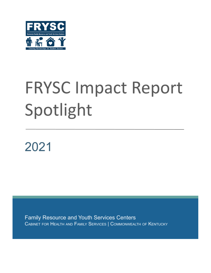

# **FRYSC Impact Report** Spotlight

2021

Family Resource and Youth Services Centers CABINET FOR HEALTH AND FAMILY SERVICES | COMMONWEALTH OF KENTUCKY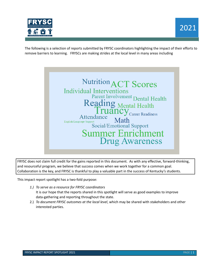

The following is a selection of reports submitted by FRYSC coordinators highlighting the impact of their efforts to remove barriers to learning. FRYSCs are making strides at the local level in many areas including



FRYSC does not claim full credit for the gains reported in this document. As with any effective, forward-thinking, and resourceful program, we believe that success comes when we work together for a common goal. Collaboration is the key, and FRYSC is thankful to play a valuable part in the success of Kentucky's students.

This impact report spotlight has a two-fold purpose:

- *1.) To serve as a resource for FRYSC coordinators* It is our hope that the reports shared in this spotlight will serve as good examples to improve data-gathering and reporting throughout the state.
- 2.) *To document FRYSC outcomes at the local level*, which may be shared with stakeholders and other interested parties.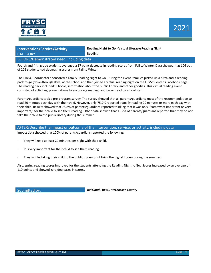

| <b>Intervention/Service/Activity</b>     | Reading Night to Go - Virtual Literacy/Reading Night |  |  |
|------------------------------------------|------------------------------------------------------|--|--|
| <b>CATEGORY</b>                          | Reading                                              |  |  |
| BEFORE/Demonstrated need, including data |                                                      |  |  |

Fourth and fifth grade students averaged a 17 point decrease in reading scores from Fall to Winter. Data showed that 106 out of 206 students had decreasing scores from Fall to Winter.

The FRYSC Coordinator sponsored a Family Reading Night to Go. During the event, families picked up a pizza and a reading pack to-go (drive-through style) at the school and then joined a virtual reading night on the FRYSC Center's Facebook page. The reading pack included: 3 books, information about the public library, and other goodies. This virtual reading event consisted of activities, presentations to encourage reading, and books read by school staff.

Parents/guardians took a pre-program survey. The survey showed that all parents/guardians knew of the recommendation to read 20 minutes each day with their child. However, only 75.7% reported actually reading 20 minutes or more each day with their child. Results showed that 78.8% of parents/guardians reported thinking that it was only, "somewhat important or very important," for their child to see them reading. Other data showed that 15.2% of parents/guardians reported that they do not take their child to the public library during the summer.

#### AFTER/Describe the impact or outcome of the intervention, service, or activity, including data

Impact data showed that 100% of parents/guardians reported the following:

- They will read at least 20 minutes per night with their child.
- It is very important for their child to see them reading.
- · They will be taking their child to the public library or utilizing the digital library during the summer.

Also, spring reading scores improved for the students attending the Reading Night to Go. Scores increased by an average of 110 points and showed zero decreases in scores.

Submitted by: *Reidland FRYSC, McCracken County*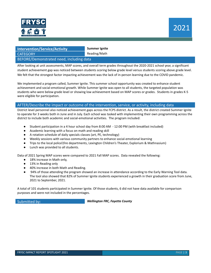

## **Intervention/Service/Activity <b>Summer** Ignite CATEGORY **Reading/Math**

BEFORE/Demonstrated need, including data

After looking at unit assessments, MAP scores, and overall term grades throughout the 2020-2021 school year, a significant student achievement gap was noticed between students scoring below grade level versus students scoring above grade level. We felt that the strongest factor impacting achievement was the lack of in-person learning due to the COVID pandemic.

We implemented a program called, Summer Ignite. This summer school opportunity was created to enhance student achievement and social-emotional growth. While Summer Ignite was open to all students, the targeted population was students who were below grade level or showing low achievement based on MAP scores or grades. Students in grades K-5 were eligible for participation.

#### AFTER/Describe the impact or outcome of the intervention, service, or activity, including data

District level personnel also noticed achievement gaps across the FCPS district. As a result, the district created Summer Ignite to operate for 3 weeks both in June and in July. Each school was tasked with implementing their own programming across the district to include both academic and social-emotional activities. The program included:

- Student participation in a 4 hour school day from 8:00 AM 12:00 PM (with breakfast included)
- Academic learning with a focus on math and reading skill
- A rotation schedule of daily specials classes (art, PE, technology)
- Weekly sessions with various community partners to enhance social-emotional learning
- Trips to the local police\fire departments, Lexington Children's Theater, Explorium & Mathnasium)
- Lunch was provided to all students.

Data of 2021 Spring MAP scores were compared to 2021 Fall MAP scores. Data revealed the following:

- 18% increase in Math only,
- 13% in Reading only
- 40% increase in both Math and Reading.
- 94% of those attending the program showed an increase in attendance according to the Early Warning Tool data. The tool also showed that 82% of Summer Ignite students experienced a growth in their graduation score from June, 2021 to September, 2021.

A total of 101 students participated in Summer Ignite. Of those students, 6 did not have data available for comparison purposes and were not included in the percentages.

Submitted by: *Wellington FRC, Fayette County*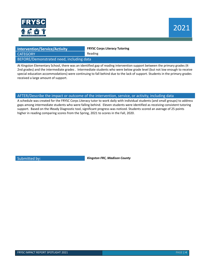

### **Intervention/Service/Activity FRYSC Corps Literacy Tutoring** CATEGORY **Reading**

BEFORE/Demonstrated need, including data

At Kingston Elementary School, there was an identified gap of reading intervention support between the primary grades (K-2nd grades) and the intermediate grades . Intermediate students who were below grade level (but not low enough to receive special education accommodations) were continuing to fall behind due to the lack of support. Students in the primary grades received a large amount of support.

#### AFTER/Describe the impact or outcome of the intervention, service, or activity, including data

A schedule was created for the FRYSC Corps Literacy tutor to work daily with individual students (and small groups) to address gaps among intermediate students who were falling behind. Eleven students were identified as receiving consistent tutoring support. Based on the IReady Diagnostic tool, significant progress was noticed. Students scored an average of 25 points higher in reading comparing scores from the Spring, 2021 to scores in the Fall, 2020.

Submitted by: *Kingston FRC, Madison County*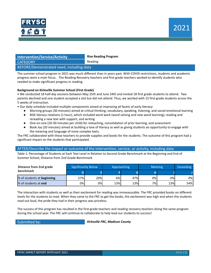

| <b>Intervention/Service/Activity</b>     | <b>Rise Reading Program</b> |  |  |
|------------------------------------------|-----------------------------|--|--|
| <b>CATEGORY</b>                          | Reading                     |  |  |
| BEFORE/Demonstrated need, including data |                             |  |  |

The summer school program in 2021 was much different than in years past. With COVID restrictions, students and academic progress were a main focus. The Reading Recovery teachers and first grade teachers worked to identify students who needed to make significant progress in reading.

#### **Background on Kirksville Summer School (First Grade)**

• We conducted 18 half-day sessions between May 25th and June 24th and invited 18 first grade students to attend. Two parents declined and one student accepted a slot but did not attend. Thus, we worked with 15 first-grade students across the 5 weeks of instruction.

- Our daily schedule included multiple components aimed at improving all facets of early literacy:
	- Morning groups (30 minutes) aimed at critical thinking, vocabulary, speaking, listening, and social-emotional learning
	- RISE literacy rotations (1 hour), which included word work (word solving and new word learning); reading and rereading a new text with support, and writing
	- One-on-one (20-30 minutes per child) for reteaching, consolidation of prior learning, and assessment
	- Book Joy (20 minutes) aimed at building a love of literacy as well as giving students an opportunity to engage with the meaning and language of more complex texts.

The FRC collaborated with these teachers to provide supplies and books for the students. The outcome of this program had a significant impact on the students that participated.

#### AFTER/Describe the impact or outcome of the intervention, service, or activity, including data

Table 1: Percentage of Students at Each Text Level in Relation to Second Grade Benchmark at the Beginning and End of Summer School, Distance from 2nd Grade Benchmark

| Distance from 2nd grade    | <b>Significantly Below</b> |     | Approaching |     | <b>Meeting</b> |     | Exceeding |
|----------------------------|----------------------------|-----|-------------|-----|----------------|-----|-----------|
| benchmark                  |                            |     |             |     |                |     |           |
| % of students at beginning | 27%                        | 20% | 6%          | 47% | 0%             | 0%l | 0%l       |
| % of students at end       | 0%I                        | 0%  | 13%         | 13% | 7%I            | 13% | 54%       |

The interaction with students as well as their excitement for reading was immeasurable. The FRC provided books on different levels for the students to read. When they came to the FRC to get the books, the excitement was high and when the students read out loud, the pride they had in their progress was priceless.

The success of this program has resulted in the first-grade teachers and reading recovery teachers doing the same program during the school year. The FRC will continue to collaborate to help lead our students to success!

Submitted by: *Kirksville FRC, Madison County*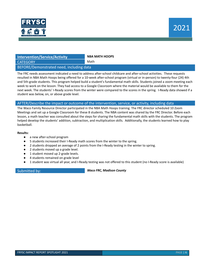

### **Intervention/Service/Activity NBA MATH HOOPS** CATEGORY **Math**

#### BEFORE/Demonstrated need, including data

The FRC needs assessment indicated a need to address after-school childcare and after-school activities. These requests resulted in NBA Math Hoops being offered for a 10-week after-school program (virtual or in-person) to twenty-four (24) 4th and 5th-grade students. This program helped build a student's fundamental math skills. Students joined a zoom meeting each week to work on the lesson. They had access to a Google Classroom where the material would be available to them for the next week. The students' I-Ready scores from the winter were compared to the scores in the spring. I-Ready data showed if a student was below, on, or above grade level.

#### AFTER/Describe the impact or outcome of the intervention, service, or activity, including data

The Waco Family Resource Director participated in the NBA Math Hoops training. The FRC director scheduled 10 Zoom Meetings and set up a Google Classroom for these 8 students. The NBA content was shared by the FRC Director. Before each lesson, a math teacher was consulted about the steps for sharing the fundamental math skills with the students. The program helped develop the students' addition, subtraction, and multiplication skills. Additionally, the students learned how to play basketball.

#### **Results:**

- a new after-school program
- 5 students increased their I-Ready math scores from the winter to the spring.
- 2 students dropped an average of 2 points from the I-Ready testing in the winter to spring.
- 2 students moved up a grade level.
- 1 student moved up 2-grade levels.
- 4 students remained on grade level
- 1 student was virtual all year, and I-Ready testing was not offered to this student (no I-Ready score is available)

Submitted by: *Waco FRC, Madison County*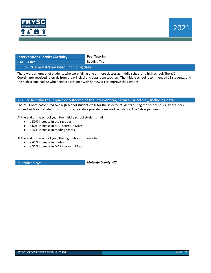

| <b>Intervention/Service/Activity</b>     | <b>Peer Tutoring</b> |  |
|------------------------------------------|----------------------|--|
| <b>CATEGORY</b>                          | Reading/Math         |  |
| BEFORE/Demonstrated need, including data |                      |  |

There were a number of students who were failing one or more classes at middle school and high school. The YSC Coordinator received referrals from the principal and classroom teachers. The middle school recommended 15 students, and the high school had 32 who needed assistance with homework to improve their grades.

#### AFTER/Describe the impact or outcome of the intervention, service, or activity, including data

The YSC Coordinator hired two high school students to tutor the selected students during the school hours. Peer tutors worked with each student to study for tests and/or provide homework assistance 3 to 4 days per week.

At the end of the school year, the middle school students had

- a 50% increase in their grades
- a 60% increase in MAP scores in Math
- a 46% increase in reading scores

At the end of the school year, the high school students had

- a 62% increase in grades
- a 31% increase in MAP scores in Math

Submitted by: *Metcalfe County YSC*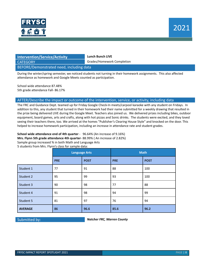

### **Intervention/Service/Activity Lunch Bunch LIVE**

**CATEGORY** Grades/Homework Completion

BEFORE/Demonstrated need, including data

During the winter/spring semester, we noticed students not turning in their homework assignments. This also affected attendance as homework and Google Meets counted as participation.

School wide attendance 87.48% 5th grade attendance Fall- 86.17%

#### AFTER/Describe the impact or outcome of the intervention, service, or activity, including data

The FRC and Guidance Dept. teamed up for Friday Google Check-In meets/carpool karaoke with any student on Fridays. In addition to this, any student that turned in their homework had their name submitted for a weekly drawing that resulted in the prize being delivered LIVE during the Google Meet. Teachers also joined us. We delivered prizes including bikes, outdoor equipment, board games, arts and crafts, along with hot pizzas and Sonic drinks. The students were excited, and they loved seeing their teachers there, too. We arrived at the homes "Publisher's Clearing House Style" and knocked on the door. This helped to increase homework participation, including an increase in attendance rate and student grades.

**School wide attendance end of 4th quarter** - 96.64% (An increase of 9.16%) **Mrs. Flynn 5th grade attendance 4th quarter**- 88.99% ( An increase of 2.82%) Sample group increased % in both Math and Language Arts 5 students from Mrs. Flynn's class for sample data:

|                | <b>Language Arts</b> |             | <b>Math</b> |             |
|----------------|----------------------|-------------|-------------|-------------|
|                | <b>PRE</b>           | <b>POST</b> | <b>PRE</b>  | <b>POST</b> |
| Student 1      | 77                   | 91          | 88          | 100         |
| Student 2      | 95                   | 99          | 93          | 100         |
| Student 3      | 90                   | 98          | 77          | 88          |
| Student 4      | 91                   | 98          | 94          | 99          |
| Student 5      | 81                   | 97          | 76          | 94          |
| <b>AVERAGE</b> | 86                   | 96.6        | 85.6        | 96.2        |

Submitted by: *Natcher FRC, Warren County*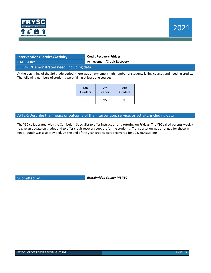

#### **Intervention/Service/Activity Credit Recovery Fridays**

CATEGORY **Achievement/Credit Recovery** 

#### BEFORE/Demonstrated need, including data

At the beginning of the 3rd grade period, there was an extremely high number of students failing courses and needing credits. The following numbers of students were failing at least one course:

| 6th     | 7th            | 8th     |
|---------|----------------|---------|
| Graders | <b>Graders</b> | Graders |
| a       | 95             | 96      |

#### AFTER/Describe the impact or outcome of the intervention, service, or activity, including data

The YSC collaborated with the Curriculum Specialist to offer instruction and tutoring on Fridays. The YSC called parents weekly to give an update on grades and to offer credit recovery support for the students. Transportation was arranged for those in need. Lunch was also provided. At the end of the year, credits were recovered for 194/200 students.

Submitted by: *Breckinridge County MS YSC*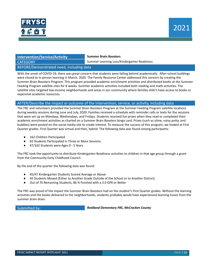

#### **Intervention/Service/Activity Summer Brain Boosters**

CATEGORY Summer Learning Loss/Kindergarten Readiness

#### BEFORE/Demonstrated need, including data

With the onset of COVID-19, there was great concern that students were falling behind academically. After-school buildings were closed to in-person learning in March, 2020. The Family Resource Center addressed this concern by creating the Summer Brain Boosters Program. This program provided academic enrichment activities and distributed books at the Summer Feeding Program satellite sites for 8 weeks. Summer academic activities included both reading and math activities. The satellite sites targeted low-income neighborhoods and areas in our community where families didn't have access to books or expensive academic resources.

#### AFTER/Describe the impact or outcome of the intervention, service, or activity, including data

The FRC and volunteers provided the Summer Brain Boosters Program at the Summer Feeding Program satellite locations during weekly sessions during June and July, 2020. Families received a schedule with reminder calls or texts for the sessions that were set up on Mondays, Wednesdays, and Fridays. Students received fun prizes when they read or completed their academic enrichment activities as charted on a Summer Brain Boosters bingo card. Prizes (such as slime, noisy putty, and bubbles) were posted on the social media site to create interest. To measure the success of this program, we looked at First Quarter grades. First Quarter was virtual and then, hybrid. The following data was found among participants:

- 162 Children Participated
- 65 Students Participated in Three or More Sessions
- 47/162 Students were Ages 0 5 Years

The FRC took the opportunity to distribute Kindergarten Readiness activities to children in that age group through a grant from the Community Early Childhood Council.

By the end of the quarter the following data was found:

- 45/47 Kindergarten Students Scored Average or Above
- 45 Students Moved (Either to Another Grade Outside of the School or to Another District)
- Out of 70 Remaining Students, 86 % finished with a 3.0 GPA or Better

The FRC was proud of the impact the Summer Brain Boosters had on the student's First Quarter grades. Without the learning activities and the books delivered to the neighborhoods, students probably would have experienced learning losses from the summer brain drain.

Submitted by: *Reidland Elementary FRC, McCracken County*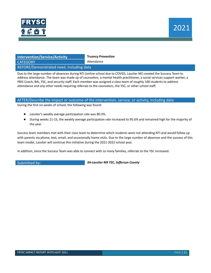

| <b>Intervention/Service/Activity</b>     | <b>Truancy Prevention</b> |  |
|------------------------------------------|---------------------------|--|
| <b>CATEGORY</b>                          | Attendance                |  |
| BEFORE/Demonstrated need, including data |                           |  |

Due to the large number of absences during NTI (online school due to COVID), Lassiter MS created the Success Team to address attendance. The team was made up of counselors, a mental health practitioner, a social services support worker, a PBIS Coach, BAI, YSC, and security staff. Each member was assigned a class team of roughly 100 students to address attendance and any other needs requiring referrals to the counselors, the YSC, or other school staff.

#### AFTER/Describe the impact or outcome of the intervention, service, or activity, including data

During the first six weeks of school, the following was found:

- Lassiter's weekly average participation rate was 80.3%.
- During weeks 11-15, the weekly average participation rate increased to 95.6% and remained high for the majority of the year.

Success team members met with their class team to determine which students were not attending NTI and would follow up with parents via phone, text, email, and occasionally home visits. Due to the large number of absences and the success of this team model, Lassiter will continue this initiative during the 2021-2022 school year.

In addition, since the Success Team was able to connect with so many families, referrals to the YSC increased.

Submitted by: *3A-Lassiter MS YSC, Jefferson County*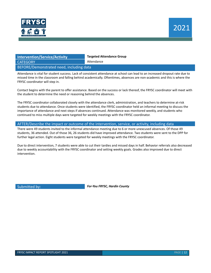

| Intervention/Service/Activity            | <b>Targeted Attendance Group</b> |  |  |
|------------------------------------------|----------------------------------|--|--|
| <b>CATEGORY</b>                          | Attendance                       |  |  |
| BEFORE/Demonstrated need, including data |                                  |  |  |

Attendance is vital for student success. Lack of consistent attendance at school can lead to an increased dropout rate due to missed time in the classroom and falling behind academically. Oftentimes, absences are non-academic and this is where the FRYSC coordinator will step in.

Contact begins with the parent to offer assistance. Based on the success or lack thereof, the FRYSC coordinator will meet with the student to determine the need or reasoning behind the absences.

The FRYSC coordinator collaborated closely with the attendance clerk, administration, and teachers to determine at-risk students due to attendance. Once students were identified, the FRYSC coordinator held an informal meeting to discuss the importance of attendance and next steps if absences continued. Attendance was monitored weekly, and students who continued to miss multiple days were targeted for weekly meetings with the FRYSC coordinator.

#### AFTER/Describe the impact or outcome of the intervention, service, or activity, including data

There were 49 students invited to the informal attendance meeting due to 6 or more unexcused absences. Of those 49 students, 36 attended. Out of those 36, 26 students did have improved attendance. Two students were sent to the DPP for further legal action. Eight students were targeted for weekly meetings with the FRYSC coordinator.

Due to direct intervention, 7 students were able to cut their tardies and missed days in half. Behavior referrals also decreased due to weekly accountability with the FRYSC coordinator and setting weekly goals. Grades also improved due to direct intervention.

Submitted by: *For-You FRYSC, Hardin County*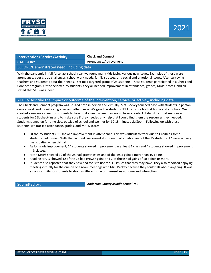

#### **Intervention/Service/Activity Check and Connect** CATEGORY **Attendance/Achievement**

#### BEFORE/Demonstrated need, including data

With the pandemic in full force last school year, we found many kids facing various new issues. Examples of those were attendance, peer group challenges, school work needs, family stresses, and social and emotional issues. After surveying teachers and students about their needs, I set up a targeted group of 25 students. These students participated in a Check and Connect program. Of the selected 25 students, they all needed improvement in attendance, grades, MAPS scores, and all stated that SEL was a need.

#### AFTER/Describe the impact or outcome of the intervention, service, or activity, including data

The Check and Connect program was utilized both in person and virtually. Mrs. Beckey touched base with students in person once a week and monitored grades and attendance. We gave the students SEL kits to use both at home and at school. We created a resource sheet for students to have so if a need arose they would have a contact. I also did virtual sessions with students for SEL check-ins and to make sure if they needed any help that I could find them the resources they needed. Students signed up for time slots outside of school and we met for 10-15 minutes via Zoom. Following up with these students, we tracked attendance, grades, and MAPS scores.

- Of the 25 students, 11 showed improvement in attendance. This was difficult to track due to COVID as some students had to miss. With that in mind, we looked at student participation and of the 25 students, 17 were actively participating when virtual.
- As for grade improvement, 14 students showed improvement in at least 1 class and 4 students showed improvement in 3 classes.
- Math MAPS showed 19 of the 25 had growth gains and of the 19, 5 gained more than 10 points.
- Reading MAPS showed 12 of the 25 had growth gains and 2 of those had gains of 10 points or more.
- Students also reported that they now had tools to use for SEL issues that they may have. They also reported enjoying meeting virtually for the one on one zoom meetings with Mrs. Beckey because they could talk about anything. It was an opportunity for students to show a different side of themselves at home and interaction.

Submitted by: *Anderson County Middle School YSC*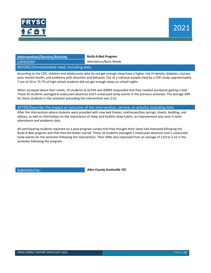

#### **Intervention/Service/Activity Build-A-Bed Program**

**CATEGORY CATEGORY Attendance/Basic Needs** 

#### BEFORE/Demonstrated need, including data

According to the CDC, children and adolescents who do not get enough sleep have a higher risk of obesity, diabetes, injuries, poor mental health, and problems with attention and behavior. Out of a national sample cited by a CDC study, approximately 7 out of 10 or 72.7% of high school students did not get enough sleep on school nights.

When surveyed about their needs, 10 students at ACSHS and JEBMS responded that they needed assistance getting a bed. These 10 students averaged 6 unexcused absences and 5 unexcused tardy events in the previous semester. The average GPA for these students in the semester preceding the intervention was 2.63.

#### AFTER/Describe the impact or outcome of the intervention, service, or activity, including data

After the intervention where students were provided with new bed frames, mattresses/box springs, sheets, bedding, and pillows, as well as information on the importance of sleep and healthy sleep habits, an improvement was seen in both attendance and academic data.

All participating students reported on a post-program survey that they thought their sleep had improved following the Build-A-Bed program and that they felt better overall. These 10 students averaged 2 unexcused absences and 2 unexcused tardy events for the semester following the intervention. Their GPAs also improved from an average of 2.63 to 3.22 in the semester following the program.

Submitted by: *Allen County Scottsville YSC*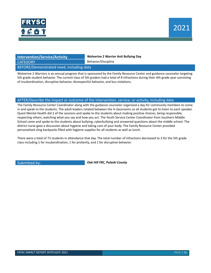

## CATEGORY Behavior/Discipline

**Intervention/Service/Activity Wolverine 2 Warrior Anti Bullying Day**

BEFORE/Demonstrated need, including data

Wolverine 2 Warriors is an annual program that is sponsored by the Family Resource Center and guidance counselor targeting 5th grade student behavior. The current class of 5th graders had a total of 8 infractions during their 4th grade year consisting of insubordination, disruptive behavior, disrespectful behavior, and bus violations.

#### AFTER/Describe the impact or outcome of the intervention, service, or activity, including data

The Family Resource Center Coordinator along with the guidance counselor organized a day for community members to come in and speak to the students. The adult leaders rotated between the 4 classrooms so all students got to listen to each speaker. Quest Mental Health did 2 of the sessions and spoke to the students about making positive choices, being responsible, respecting others, watching what you say and how you act. The Youth Service Center Coordinator from Southern Middle School came and spoke to the students about bullying, cyberbullying and answered questions about the middle school. The district nurse gave a discussion about hygiene and taking care of your body. The Family Resource Center provided personalized sling backpacks filled with hygiene supplies for all students as well as lunch.

There were a total of 73 students in attendance that day. The total number of infractions decreased to 3 for the 5th grade class including 1 for insubordination, 1 for profanity, and 1 for disruptive behavior.

Submitted by: *Oak Hill FRC, Pulaski County*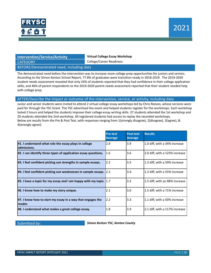

#### **Intervention/Service/Activity Virtual College Essay Workshop** CATEGORY CATEGORY COLLEGE COLLEGE AND COLLEGE AT LCCC.

BEFORE/Demonstrated need, including data

The demonstrated need before the intervention was to increase more college prep opportunities for juniors and seniors. According to the Simon Kenton School Report, 77.8% of graduates were transition-ready in 2018-2019. The 2019-2020 student needs assessment revealed that only 24% of students reported that they had confidence in their college application skills, and 46% of parent respondents to the 2019-2020 parent needs assessment reported that their student needed help with college prep.

#### AFTER/Describe the impact or outcome of the intervention, service, or activity, including data

Junior and senior students were invited to attend 2 virtual college essay workshops led by Chris Reeves, whose services were paid for through the YSC Grant. The YSC advertised the event and helped students register for the workshops. Each workshop lasted 2 hours and helped the students improve their college essay writing skills. 37 students attended the 1st workshop and 20 students attended the 2nd workshop. All registered students had access to replay the recorded workshops. Below are results from the Pre & Post Test, with responses ranging from 1(strongly disagree), 2(disagree), 3(agree), & 4(strongly agree):

|                                                                                      | <b>Pre-test</b><br><b>Average</b> | <b>Post-test</b><br><b>Average</b> | <b>Results</b>                 |
|--------------------------------------------------------------------------------------|-----------------------------------|------------------------------------|--------------------------------|
| #1. I understand what role the essay plays in college<br>ladmissions.                | 2.9                               | 3.9                                | 1.0 diff, with a 34% increase  |
| $\#2$ . I can identify three types of application essay questions.                   | 11.6                              | 3.6                                | 2.0 diff, with a 125% increase |
| #3. I feel confident picking out strengths in sample essays.                         | 12.2                              | 3.5                                | 1.3 diff, with a 59% increase  |
| #4. I feel confident picking out weaknesses in sample essays. 2.2                    |                                   | 3.4                                | 1.2 diff, with a 55% increase  |
| $\#5$ . I have a topic for my essay and I am happy with my topic. $\left 1.7\right $ |                                   | 3.2                                | 1.5 diff, with an 88% increase |
| #6. I know how to make my story unique.                                              | 2.1                               | 3.6                                | 1.5 diff, with a 71% increase  |
| $\#$ 7. I know how to start my essay in a way that engages the<br>lreader.           | 12.2                              | 3.3                                | 1.1 diff, with a 50% increase  |
| #8. I understand what makes a great college essay.                                   | 1.8                               | 3.9                                | 2.1 diff, with a 117% increase |

Submitted by: *Simon Kenton YSC, Kenton County*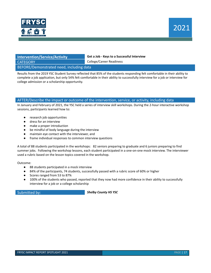

## CATEGORY CATEGORY COLLEGE COLLEGE AND COLLEGE AT A COLLEGE AND COLLEGE AT A COLLEGE AT A COLLEGE AT A COLLEGE AT A COLLEGE AT A COLLEGE AT A COLLEGE AT A COLLEGE AT A COLLEGE AT A COLLEGE AT A COLLEGE AT A COLLEGE AT A COL

**Intervention/Service/Activity Get a Job - Keys to a Successful Interview**

BEFORE/Demonstrated need, including data

Results from the 2019 YSC Student Survey reflected that 85% of the students responding felt comfortable in their ability to complete a job application, but only 54% felt comfortable in their ability to successfully interview for a job or interview for college admission or a scholarship opportunity.

#### AFTER/Describe the impact or outcome of the intervention, service, or activity, including data

In January and February of 2021, the YSC held a series of interview skill workshops. During the 2-hour interactive workshop sessions, participants learned how to:

- research job opportunities
- dress for an interview
- make a proper introduction
- be mindful of body language during the interview
- maintain eye contact with the interviewer, and
- frame individual responses to common interview questions

A total of 88 students participated in the workshops: 82 seniors preparing to graduate and 6 juniors preparing to find summer jobs. Following the workshop lessons, each student participated in a one-on-one mock interview. The interviewer used a rubric based on the lesson topics covered in the workshop.

Outcome:

- 88 students participated in a mock interview
- 84% of the participants, 74 students, successfully passed with a rubric score of 60% or higher
- Scores ranged from 53 to 87%
- 100% of the students who passed, reported that they now had more confidence in their ability to successfully interview for a job or a college scholarship

Submitted by: *Shelby County HS YSC*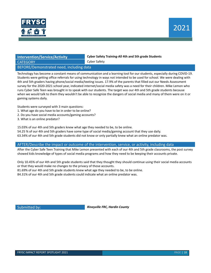

**Intervention/Service/Activity Cyber Safety Training-All 4th and 5th grade Students**

**CATEGORY** CATEGORY CHARGES CONTROL CONTROL CONTROL CONTROL CONTROL CONTROL CONTROL CONTROL CONTROL CONTROL CONTROL CONTROL CONTROL CONTROL CONTROL CONTROL CONTROL CONTROL CONTROL CONTROL CONTROL CONTROL CONTROL CONTROL CO

#### BEFORE/Demonstrated need, including data

Technology has become a constant means of communication and a learning tool for our students, especially during COVID-19. Students were getting office referrals for using technology in ways not intended to be used for school. We were dealing with 4th and 5th graders having phone/social media/texting issues. 17.9% of the parents that filled out our Needs Assessment survey for the 2020-2021 school year, indicated internet/social media safety was a need for their children. Mike Lemon who runs Cyber Safe Teen was brought in to speak with our students. The target was our 4th and 5th grade students because when we would talk to them they wouldn't be able to recognize the dangers of social media and many of them were on it or gaming systems daily.

Students were surveyed with 3 main questions:

- 1. What age do you have to be in order to be online?
- 2. Do you have social media accounts/gaming accounts?
- 3. What is an online predator?

15.03% of our 4th and 5th graders knew what age they needed to be, to be online.

- 54.25 % of our 4th and 5th graders have some type of social media/gaming account that they use daily.
- 63.34% of our 4th and 5th grade students did not know or only partially knew what an online predator was.

#### AFTER/Describe the impact or outcome of the intervention, service, or activity, including data

After the Cyber Safe Teen Training that Mike Lemon presented with each of our 4th and 5th grade classrooms, the post survey showed kids knowledge of types of social media programs and how they need to be keeping their accounts private.

Only 10.45% of our 4th and 5th grade students said that they thought they should continue using their social media accounts or that they would make no changes to the privacy of those accounts.

81.69% of our 4th and 5th grade students knew what age they needed to be, to be online.

84.31% of our 4th and 5th grade students could indicate what an online predator was.

Submitted by: *Rineyville FRC, Hardin County*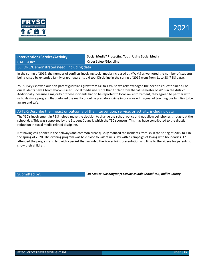

## **CATEGORY** CATEGORY CATEGORY

**Intervention/Service/Activity Social Media? Protecting Youth Using Social Media**

#### BEFORE/Demonstrated need, including data

In the spring of 2019, the number of conflicts involving social media increased at MWMS as we noted the number of students being raised by extended family or grandparents did too. Discipline in the spring of 2019 went from 11 to 38 (PBIS data).

YSC surveys showed our non-parent guardians grew from 4% to 13%, so we acknowledged the need to educate since all of our students have Chromebooks issued. Social media use more than tripled from the fall semester of 2018 in the district. Additionally, because a majority of these incidents had to be reported to local law enforcement, they agreed to partner with us to design a program that detailed the reality of online predatory crime in our area with a goal of teaching our families to be aware and safe.

#### AFTER/Describe the impact or outcome of the intervention, service, or activity, including data

The YSC's involvement in PBIS helped make the decision to change the school policy and not allow cell phones throughout the school day. This was supported by the Student Council, which the YSC sponsors. This may have contributed to the drastic reduction in social media related discipline.

Not having cell phones in the hallways and common areas quickly reduced the incidents from 38 in the spring of 2019 to 4 in the spring of 2020. The evening program was held close to Valentine's Day with a campaign of loving with boundaries. 17 attended the program and left with a packet that included the PowerPoint presentation and links to the videos for parents to show their children.

Submitted by: *3B-Mount Washington/Eastside Middle School YSC, Bullitt County*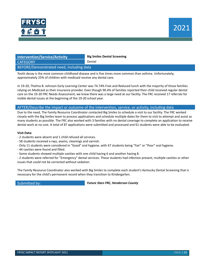

#### **Intervention/Service/Activity Big Smiles Dental Screening** CATEGORY **Dental**

BEFORE/Demonstrated need, including data

Tooth decay is the most common childhood disease and is five times more common than asthma. Unfortunately, approximately 25% of children with medicaid receive any dental care.

In 19-20, Thelma B. Johnson Early Learning Center was 74.74% Free and Reduced lunch with the majority of those families relying on Medicaid as their insurance provider. Even though 90.4% of families reported their child received regular dental care on the 19-20 FRC Needs Assessment, we knew there was a large need at our facility. The FRC received 17 referrals for visible dental issues at the beginning of the 19-20 school year.

#### AFTER/Describe the impact or outcome of the intervention, service, or activity, including data

Due to the need, The Family Resource Coordinator contacted Big Smiles to schedule a visit to our facility. The FRC worked closely with the Big Smiles team to process applications and schedule multiple dates for them to visit to attempt and assist as many students as possible. The FRC also worked with 3 families with no dental coverage to complete an application to receive dental work at no cost. A total of 87 applications were submitted and processed and 61 students were able to be evaluated.

#### **Visit Data:**

- 2 students were absent and 1 child refused all services.
- 58 students received x-rays, exams, cleanings and varnish.
- Only 11 students were considered in "Good" oral hygiene, with 47 students being "Fair" or "Poor" oral hygiene.
- 44 cavities were found and filled.
- Some students showed multiple cavities with one child having 6 and another having 8.

- 2 students were referred for "Emergency" dental services. These students had infection present, multiple cavities or other issues that could not be corrected without sedation.

The Family Resource Coordinator also worked with Big Smiles to complete each student's Kentucky Dental Screening that is necessary for the child's permanent record when they transition to Kindergarten.

Submitted by: *Future Stars FRC, Henderson County*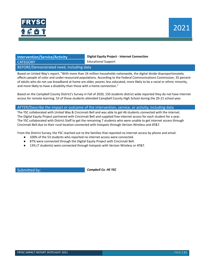

## **CATEGORY Educational Support**

**Intervention/Service/Activity Digital Equity Project - Internet Connection** 

BEFORE/Demonstrated need, including data

Based on United Way's report, "With more than 24 million households nationwide, the digital divide disproportionately affects people of color and under-resourced populations. According to the Federal Communications Commission, 35 percent of adults who do not use broadband at home are older, poorer, less educated, more likely to be a racial or ethnic minority, and more likely to have a disability than those with a home connection."

Based on the Campbell County District's Survey in Fall of 2020, 150 students district wide reported they do not have internet access for remote learning. 53 of those students attended Campbell County High School during the 20-21 school year.

#### AFTER/Describe the impact or outcome of the intervention, service, or activity, including data

The YSC collaborated with United Way & Cincinnati Bell and was able to get 46 students connected with the internet. The Digital Equity Project partnered with Cincinnati Bell and supplied free internet access for each student for a year. The YSC collaborated with District Staff to get the remaining 7 students who were unable to get internet access through Cincinnati Bell due to their rural location connected with hotspots through Verizon Wireless and AT&T.

From the District Survey, the YSC reached out to the families that reported no internet access by phone and email.

- 100% of the 53 students who reported no internet access were connected.
- 87% were connected through the Digital Equity Project with Cincinnati Bell.
- 13% (7 students) were connected through hotspots with Verizon Wireless or AT&T.

Submitted by: *Campbell Co. HS YSC*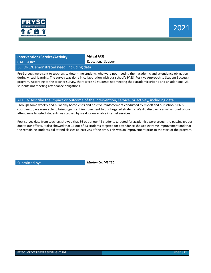

| <b>Intervention/Service/Activity</b>     | <b>Virtual PASS</b>        |  |
|------------------------------------------|----------------------------|--|
| <b>CATEGORY</b>                          | <b>Educational Support</b> |  |
| BEFORE/Demonstrated need, including data |                            |  |

Pre-Surveys were sent to teachers to determine students who were not meeting their academic and attendance obligation during virtual learning. The survey was done in collaboration with our school's PASS (Positive Approach to Student Success) program. According to the teacher survey, there were 42 students not meeting their academic criteria and an additional 23 students not meeting attendance obligations.

#### AFTER/Describe the impact or outcome of the intervention, service, or activity, including data

Through some weekly and bi-weekly home visits and positive reinforcement conducted by myself and our school's PASS coordinator, we were able to bring significant improvement to our targeted students. We did discover a small amount of our attendance targeted students was caused by weak or unreliable internet services.

Post-survey data from teachers showed that 36 out of our 42 students targeted for academics were brought to passing grades due to our efforts. It also showed that 16 out of 23 students targeted for attendance showed extreme improvement and that the remaining students did attend classes at least 2/3 of the time. This was an improvement prior to the start of the program.

Submitted by: *Marion Co. MS YSC*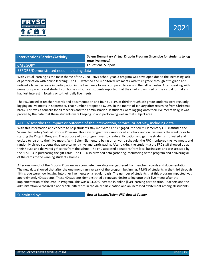

**Intervention/Service/Activity Salem Elementary Virtual Drop-In Program (Incentive for students to log onto live meets)** CATEGORY Educational Support

#### BEFORE/Demonstrated need, including data

With virtual learning as the main theme of the 2020 - 2021 school year, a program was developed due to the increasing lack of participation with online learning. The FRC watched and monitored live meets with third grade through fifth grade and noticed a large decrease in participation in the live meets format compared to early in the fall semester. After speaking with numerous parents and students on home visits, most students reported that they had grown tired of the virtual format and had lost interest in logging onto their daily live meets.

The FRC looked at teacher records and documentation and found 76.4% of third through 5th grade students were regularly logging on live meets in September. That number dropped to 67.8%, in the month of January after returning from Christmas break. This was a concern for all teachers and the administration. If students were logging onto their live meets daily, it was proven by the data that these students were keeping up and performing well in that subject area.

#### AFTER/Describe the impact or outcome of the intervention, service, or activity, including data

With this information and concern to help students stay motivated and engaged, the Salem Elementary FRC instituted the Salem Elementary Virtual Drop-In Program. This new program was announced at school and on live meets the week prior to starting the Drop in Program. The purpose of this program was to create anticipation and get the students motivated and excited to log onto their live meets. With Salem Elementary being on a hybrid schedule, the FRC monitored the live meets and randomly picked students that were currently live and participating. After picking the student(s) the FRC staff showed up at their house and delivered gift cards from the school. The FRC accepted donations from local businesses and was assisted by the SES PTO in purchasing the gift cards. The FRC also provided data gathering, monitoring of the program and delivering all of the cards to the winning students' homes.

After one month of the Drop-In Program was complete, new data was gathered from teacher records and documentation. The new data showed that after the one month anniversary of the program beginning, 74.6% of students in the third through fifth grade were now logging into thier live meets on a regular basis. The number of students that this program impacted was approximately 40 students. These 40 students demonstrated a renewed desire to log onto their live meets after the implementation of the Drop-In Program. This was a 24.02% increase in online (live) learning participation. Teachers and the administration verbalized a noticeable difference in the daily participation and an increased excitement among all students.

Submitted by: *Russell Springs/Salem FRC, Russell County*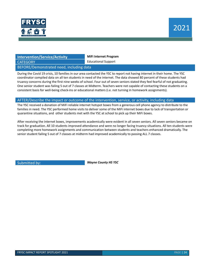

#### **Intervention/Service/Activity MiFi Internet Program**

**CATEGORY Educational Support** 

BEFORE/Demonstrated need, including data

During the Covid 19 crisis, 10 families in our area contacted the YSC to report not having internet in their home. The YSC coordinator compiled data on all ten students in need of the internet. The data showed 80 percent of these students had truancy concerns during the first nine weeks of school. Four out of seven seniors stated they feel fearful of not graduating. One senior student was failing 5 out of 7 classes at Midterm. Teachers were not capable of contacting these students on a consistent basis for well-being check-ins or educational matters (i.e. not turning in homework assignments).

#### AFTER/Describe the impact or outcome of the intervention, service, or activity, including data

The YSC received a donation of MiFi reliable internet hotspot boxes from a generous cell phone agency to distribute to the families in need. The YSC performed home visits to deliver some of the MiFi internet boxes due to lack of transportation or quarantine situations, and other students met with the YSC at school to pick up their MiFi boxes.

After receiving the internet boxes, improvements academically were evident in all seven seniors. All seven seniors became on track for graduation. All 10 students improved attendance and were no longer facing truancy situations. All ten students were completing more homework assignments and communication between students and teachers enhanced dramatically. The senior student failing 5 out of 7 classes at midterm had improved academically to passing ALL 7 classes.

Submitted by: *Wayne County HS YSC*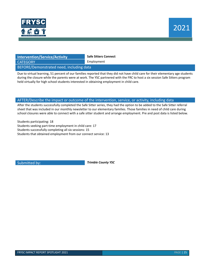

| <b>Intervention/Service/Activity</b>     | <b>Safe Sitters Connect</b> |  |  |
|------------------------------------------|-----------------------------|--|--|
| <b>CATEGORY</b>                          | Emplovment                  |  |  |
| BEFORE/Demonstrated need, including data |                             |  |  |

Due to virtual learning, 51 percent of our families reported that they did not have child care for their elementary age students during the closure while the parents were at work. The YSC partnered with the FRC to host a six session Safe Sitters program held virtually for high school students interested in obtaining employment in child care.

#### AFTER/Describe the impact or outcome of the intervention, service, or activity, including data

After the students successfully completed the Safe Sitter series, they had the option to be added to the Safe Sitter referral sheet that was included in our monthly newsletter to our elementary families. Those families in need of child care during school closures were able to connect with a safe sitter student and arrange employment. Pre and post data is listed below.

Students participating: 18 Students seeking part-time employment in child care: 17 Students successfully completing all six sessions: 15 Students that obtained employment from our connect service: 13

Submitted by: *Trimble County YSC*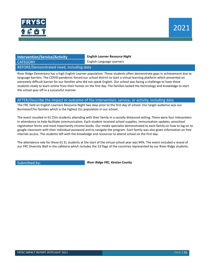

### **Intervention/Service/Activity English Learner Resource Night**

**CATEGORY English Language Learners** 

BEFORE/Demonstrated need, including data

River Ridge Elementary has a high English Learner population. These students often demonstrate gaps in achievement due to language barriers. The COVID pandemic forced our school district to start a virtual learning platform which presented an extremely difficult barrier for our families who did not speak English. Our school was facing a challenge to have these students ready to learn online from their homes on the first day. The families lacked the technology and knowledge to start the school year off in a successful manner.

#### AFTER/Describe the impact or outcome of the intervention, service, or activity, including data

The FRC held an English Learners Resource Night two days prior to the first day of school. Our target audience was our Burmese/Chin families which is the highest ELL population in our school.

The event resulted in 61 Chin students attending with their family in a socially distanced setting. There were four interpreters in attendance to help facilitate communication. Each student received school supplies, immunization updates, preschool registration forms and most importantly chrome books. Our media specialist demonstrated to each family on how to log on to google classroom with their individual password and to navigate the program. Each family was also given information on free internet access. The students left with the knowledge and resources to attend school on the first day.

The attendance rate for these 61 EL students at the start of the virtual school year was 94%. The event included a reveal of our FRC Diversity Wall in the cafeteria which includes the 23 flags of the countries represented by our River Ridge students.

Submitted by: *River Ridge FRC, Kenton County*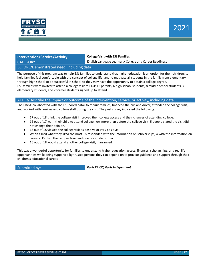

#### **Intervention/Service/Activity College Visit with ESL Families**

CATEGORY English Language Learners/ College and Career Readiness

#### BEFORE/Demonstrated need, including data

The purpose of this program was to help ESL families to understand that higher education is an option for their children; to help families feel comfortable with the concept of college life; and to motivate all students in the family from elementary through high school to be successful in school so they may have the opportunity to obtain a college degree. ESL families were invited to attend a college visit to EKU; 16 parents, 6 high school students, 8 middle school students, 7 elementary students, and 2 former students signed up to attend.

#### AFTER/Describe the impact or outcome of the intervention, service, or activity, including data

The FRYSC collaborated with the ESL coordinator to recruit families, financed the bus and driver, attended the college visit, and worked with families and college staff during the visit. The post survey indicated the following:

- 17 out of 18 think the college visit improved their college access and their chances of attending college.
- 12 out of 17 want their child to attend college now more than before the college visit; 5 people stated the visit did not change their opinion.
- 18 out of 18 viewed the college visit as positive or very positive.
- When asked what they liked the most 8 responded with the information on scholarships, 4 with the information on careers, 15 liked the campus tour, and one responded-other.
- 16 out of 18 would attend another college visit, if arranged.

This was a wonderful opportunity for families to understand higher education access, finances, scholarships, and real life opportunities while being supported by trusted persons they can depend on to provide guidance and support through their children's educational career.

Submitted by: *Paris FRYSC, Paris Independent*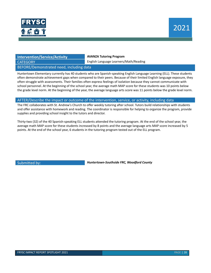

#### **Intervention/Service/Activity AVANZA Tutoring Program**

CATEGORY English Language Learners/Math/Reading

#### BEFORE/Demonstrated need, including data

Huntertown Elementary currently has 40 students who are Spanish-speaking English Language Learning (ELL). These students often demonstrate achievement gaps when compared to their peers. Because of their limited English language exposure, they often struggle with assessments. Their families often express feelings of isolation because they cannot communicate with school personnel. At the beginning of the school year, the average math MAP score for these students was 10 points below the grade level norm. At the beginning of the year, the average language arts score was 11 points below the grade level norm.

#### AFTER/Describe the impact or outcome of the intervention, service, or activity, including data

The FRC collaborates with St. Andrew's Church to offer weekly tutoring after school. Tutors build relationships with students and offer assistance with homework and reading. The coordinator is responsible for helping to organize the program, provide supplies and providing school insight to the tutors and director.

Thirty-two (32) of the 40 Spanish-speaking ELL students attended the tutoring program. At the end of the school year, the average math MAP score for these students increased by 8 points and the average language arts MAP score increased by 5 points. At the end of the school year, 6 students in the tutoring program tested out of the ELL program.

Submitted by: *Huntertown-Southside FRC, Woodford County*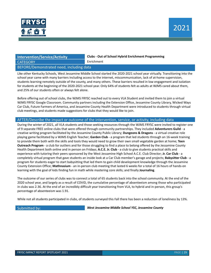

## CATEGORY **Enrichment**

**Intervention/Service/Activity Clubs - Out of School Hybrid Enrichment Programming**

BEFORE/Demonstrated need, including data

Like other Kentucky Schools, West Jessamine Middle School started the 2020-2021 school year virtually. Transitioning into the school year came with many barriers including access to the internet, miscommunication, lack of at-home supervision, students learning remotely outside of the county, and many others. These barriers resulted in low engagement and isolation for students at the beginning of the 2020-2021 school year. Only 64% of students felt as adults at WJMS cared about them, and 25% of our students often or always felt alone.

Before offering out of school clubs, the WJMS FRYSC reached out to every VLA Student and invited them to join a virtual WJMS FRYSC Google Classroom. Community partners including the Extension Office, Jessamine County Library, Wicked Ways Car Club, Future Farmers of America, and Jessamine County Health Department were introduced to students through virtual club meetings, and students made suggestions for clubs that they would like to join.

#### AFTER/Describe the impact or outcome of the intervention, service, or activity, including data

During the winter of 2021, all VLA students and those seeking resources through the WJMS FRYSC were invited to register one of 9 separate FREE online clubs that were offered through community partnerships. They included **Adventurers Guild** - a creative writing program facilitated by the Jessamine County Public Library; **Dungeons & Dragons** - a virtual creative role playing game facilitated by a WJMS English Teacher; **Garden Club** - a program that led students through an 16-week training to provide them both with the skills and tools they would need to grow their own small vegetable garden at home; **Teen Outreach Program** - a club for outliers and for those struggling to find a place to belong offered by the Jessamine County Health Department both online and in person on Fridays; **A.C.E. Jr. Club** - a club to give students practical skills and experience with tutoring their peers sponsored by the West Jessamine High School A.C.E. Club Director; **Jr. Car Club** - a completely virtual program that gave students an inside look at a Car Club member's garage and projects; **Babysitter Club** - a program for students eager to start babysitting that led them to gain child development knowledge through the Jessamine County Extension Office; **Mathnasium** - an in-person club meeting that lasted 6 weeks for a total of 16 hours of hands-on learning with the goal of kids finding fun in math while mastering core skills; and finally **Journaling**.

The outcome of our series of clubs was to connect a total of 65 students back into the school community. At the end of the 2020 school year, and largely as a result of COVID, the cumulative percentage of absenteeism among those who participated in clubs was 2.36. At the end of an incredibly difficult year transitioning from VLA, to hybrid and in-person, this group's percentage of absenteeism was 1.91.

While not all students participated in clubs, of students surveyed this Fall there has been a reduction of loneliness by 13%.

Submitted by: *West Jessamine Middle School YSC, Jessamine County*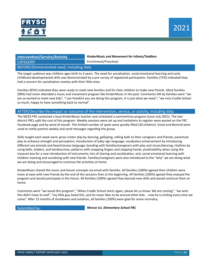

#### **Intervention/Service/Activity KinderMusic and Movement for Infants/Toddlers** CATEGORY Enrichment/Preschool BEFORE/Demonstrated need, including data

The target audience was children ages birth to 4 years. The need for socialization, social emotional learning and early childhood developmental skills was demonstrated by a pre-survey of registered participants. Families (75%) indicated they had a concern for socialization anxiety with their little ones.

Families (85%) indicated they were ready to meet new families and for their children to make new friends. Most families (90%) had never attended a music and movement program like KinderMusic in the past. Comments left by families were "we are so excited to meet new kids", "I am thankful you are doing this program, it is just what we need.", "we miss Cradle School so much, happy to have something back to normal".

#### AFTER/Describe the impact or outcome of the intervention, service, or activity, including data

The MCES FRC contacted a local KinderMusic teacher and scheduled a summertime program (June-July 2021). The two district FRCs split the cost of this program. Weekly sessions were set up and invitations to register were posted on the FRC Facebook page and by word of mouth. The limited number of spots were quickly filled (20 children). Email and Remind were used to notify parents weekly and send messages regarding the group.

Skills taught each week were: gross motor play by dancing, galloping, rolling balls to their caregivers and friends; parachute play to enhance strength and perception; introduction of baby sign language; vocabulary enhancement by introducing different sea animals and beach/ocean language; bonding with families/caregivers with play and music/dancing; rhythms by using bells, shakers, and tambourines; patterns with snapping fingers and clapping hands; predictability when using the treasure box for a new introduction of instruments; lots of sharing and socialization; and, social emotional learning with children meeting and socializing with new friends. Families/caregivers were also introduced to the "why" we are doing what we are doing and encouraged to continue the activities at home.

KinderMusic shared the music and lesson concepts via email with families. All families (100%) agreed their children were more at ease with new friends by the end of the sessions than at the beginning. All families (100%) agreed they enjoyed the program and would participate in the future. All families (100%) agreed they learned new skills and would continue them at home.

Comments were "we loved this program", "When Cradle School starts again, please let us know. We are coming", "we wish this didn't have to end", "my little guy loved this, and he never likes to be around other kids…now he is smiling every time we come". After 15 months of shutdowns and isolation, all families (100%) were glad for some normalcy.

Submitted by: *Mercer Co. Elementary School FRC*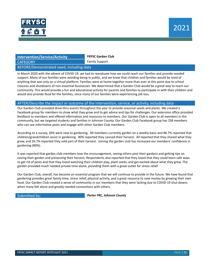

#### **Intervention/Service/Activity FRYSC** Garden Club

CATEGORY **Family Support** 

#### BEFORE/Demonstrated need, including data

In March 2020 with the advent of COVID-19, we had to reevaluate how we could reach our families and provide needed support. Many of our families were avoiding being in public, and we knew that children and families would be tired of anything that was only on a virtual platform. Families were at home together more than ever at this point due to school closures and shutdowns of non-essential businesses. We determined that a Garden Club would be a great way to reach our community. This would provide a fun and educational activity for parents and families to participate in with their children and would also provide food for the families, since many of our families were experiencing job loss.

#### AFTER/Describe the impact or outcome of the intervention, service, or activity, including data

Our Garden Club provided drive-thru events throughout the year to provide seasonal seeds and plants. We created a Facebook group for members to show what they grow and to get advice and tips for challenges. Our extension office provided feedback to members and offered information and resources to members. Our Garden Club is open to all members in the community, but we targeted students and families in Johnson County. Our Garden Club Facebook group has 258 members who can see informative posts and engage with other Garden Club members.

According to a survey, 20% were new to gardening. All members currently garden on a weekly basis and 86.7% reported that children/grandchildren assist in gardening. 80% reported they canned their harvest. All reported that they shared what they grow, and 26.7% reported they sold part of their harvest. Joining the garden club has increased our members' confidence in gardening (80%).

It was reported that garden club members love the encouragement, seeing others post their gardens and getting tips on raising their garden and preserving their harvest. Respondents also reported that they loved that they could learn safe ways to get rid of pests and that they loved watching their children play, plant seeds, and get excited about what they grew. The garden provided much needed private time alone, providing them with a great outlet for stress relief.

Our Garden Club, overall, has become an essential program that we will continue to provide in the future. We have found that gardening provides great family time, stress relief, physical activity, and a great resource to save money by growing their own food. Our Garden Club created a sense of community in our members that they were lacking due to COVID-19 shut-downs when many felt alone and greatly needed connections with others.

Submitted by: *Porter FRC, Johnson County*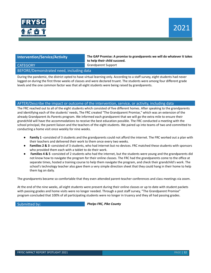

**Intervention/Service/Activity The GAP Promise: A promise to grandparents we will do whatever it takes to help their child succeed.**

CATEGORY Grandparent Support

BEFORE/Demonstrated need, including data

During the pandemic, the district opted to have virtual learning only. According to a staff survey, eight students had never logged on during the first three weeks of classes and were declared truant. The students were among four different grade levels and the one common factor was that all eight students were being raised by grandparents.

#### AFTER/Describe the impact or outcome of the intervention, service, or activity, including data

The FRC reached out to all of the eight students which consisted of five different homes. After speaking to the grandparents and identifying each of the students' needs, The FRC created "The Grandparent Promise," which was an extension of the already Grandparent As Parents program. We informed each grandparent that we will go the extra mile to ensure their grandchild will have the accommodations to receive the best education possible. The FRC conducted a meeting with the school principal, the parent liaison and the teachers of the eight students. We paired up into teams of two and committed to conducting a home visit once weekly for nine weeks.

- **Family 1** -consisted of 3 students and the grandparents could not afford the internet. The FRC worked out a plan with their teachers and delivered their work to them once every two weeks.
- **Families 2 & 3** -consisted of 3 students, who had internet but no devices. FRC matched these students with sponsors who provided them each with a tablet to do their work.
- **Families 4 & 5** -consisted of 2 students who had the internet, but the students were young and the grandparents did not know how to navigate the program for their online classes. The FRC had the grandparents come to the office at separate times, hosted a training course to help them navigate the program, and check their grandchild's work. The school's technology teacher also gave them a very simple direction sheet that they could hang in their home to help them log on daily.

The grandparents became so comfortable that they even attended parent-teacher conferences and class meetings via zoom.

At the end of the nine weeks, all eight students were present during their online classes or up to date with student packets with passing grades and home visits were no longer needed. Through a post staff survey, "The Grandparent Promise" program concluded that 100% of all participating students were no longer in truancy and they all had passing grades.

Submitted by: *Phelps FRC, Pike County*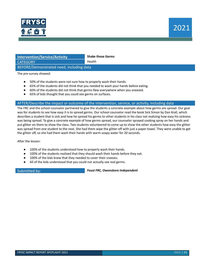

### **Intervention/Service/Activity Shake those Germs**

CATEGORY **Health** 

BEFORE/Demonstrated need, including data

The pre-survey showed:

- 50% of the students were not sure how to properly wash their hands.
- 65% of the students did not think that you needed to wash your hands before eating.
- 60% of the students did not think that germs flew everywhere when you sneezed.
- 65% of kids thought that you could see germs on surfaces.

#### AFTER/Describe the impact or outcome of the intervention, service, or activity, including data

The FRC and the school counselor partnered to give the students a concrete example about how germs are spread. Our goal was for students to see how easy it is to spread germs. Our school counselor read the book Sick Simon by Dan Krall, which describes a student that is sick and how he spread his germs to other students in his class not realizing how easy his sickness was being spread. To give a concrete example of how germs spread, our counselor sprayed cooking spray on her hands and put glitter on them to show the class. Two students volunteered to come up to show the other students how easy the glitter was spread from one student to the next. She had them wipe the glitter off with just a paper towel. They were unable to get the glitter off, so she had them wash their hands with warm soapy water for 20 seconds.

After the lesson:

- 100% of the students understood how to properly wash their hands.
- 100% of the students realized that they should wash their hands before they eat.
- 100% of the kids knew that they needed to cover their sneezes.
- All of the kids understood that you could not actually see real germs.

Submitted by: *Foust FRC, Owensboro Independent*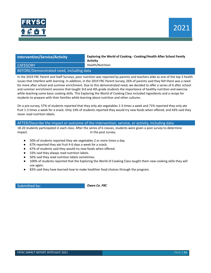

**Intervention/Service/Activity Exploring the World of Cooking - Cooking/Health After School Family Activity** CATEGORY **Example 2018** Health/Nutrition

#### BEFORE/Demonstrated need, including data

In the 2019 FRC Parent and Staff Surveys, poor nutrition was reported by parents and teachers alike as one of the top 3 health issues that interfere with learning. In addition, in the 2019 FRC Parent Survey, 26% of parents said they felt there was a need for more after school and summer enrichment. Due to this demonstrated need, we decided to offer a series of 6 after school and summer enrichment sessions that taught 3rd and 4th grade students the importance of healthy nutrition and exercise while teaching some basic cooking skills. This Exploring the World of Cooking Class included ingredients and a recipe for students to prepare with their families while learning about nutrition and other cultures.

On a pre-survey, 57% of students reported that they only ate vegetables 1-3 times a week and 71% reported they only ate fruit 1-3 times a week for a snack. Only 14% of students reported they would try new foods when offered, and 43% said they never read nutrition labels.

#### AFTER/Describe the impact or outcome of the intervention, service, or activity, including data

18-20 students participated in each class. After the series of 6 classes, students were given a post survey to determine impact. The post survey:

- 50% of students reported they ate vegetables 2 or more times a day.
- 67% reported they ate fruit 4-6 days a week for a snack.
- 67% of students said they would try new foods when offered.
- 33% said they always read nutrition labels.
- 50% said they read nutrition labels sometimes.
- 100% of students reported that the Exploring the World of Cooking Class taught them new cooking skills they will use again.
- 83% said they have learned how to make healthier food choices through the program.

Submitted by: *Owen Co. FRC*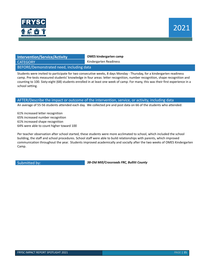

### **Intervention/Service/Activity OMES kindergarten camp** CATEGORY **Kindergarten Readiness**

BEFORE/Demonstrated need, including data

Students were invited to participate for two consecutive weeks, 8 days Monday - Thursday, for a kindergarten readiness camp. Pre-tests measured students' knowledge in four areas: letter recognition, number recognition, shape recognition and counting to 100. Sixty-eight (68) students enrolled in at least one week of camp. For many, this was their first experience in a school setting.

#### AFTER/Describe the impact or outcome of the intervention, service, or activity, including data

An average of 55-56 students attended each day. We collected pre and post data on 66 of the students who attended:

61% increased letter recognition 65% increased number recognition 61% increased shape recognition 64% were able to count higher toward 100

Per teacher observation after school started, these students were more acclimated to school, which included the school building, the staff and school procedures. School staff were able to build relationships with parents, which improved communication throughout the year. Students improved academically and socially after the two weeks of OMES Kindergarten Camp.

Submitted by: *3B-Old Mill/Crossroads FRC, Bullitt County*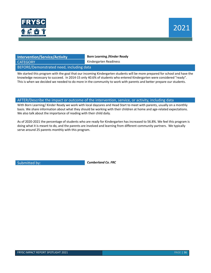

| <b>Intervention/Service/Activity</b> |  |
|--------------------------------------|--|
| CATEGORY                             |  |
| BFFORF/Demonstrated need. includin   |  |

**Intervention/Service/Activity Born Learning /Kinder Ready**

Kindergarten Readiness

BEFORE/Demonstrated need, including data

We started this program with the goal that our incoming Kindergarten students will be more prepared for school and have the knowledge necessary to succeed. In 2014-15 only 40.6% of students who entered Kindergarten were considered "ready". This is when we decided we needed to do more in the community to work with parents and better prepare our students.

#### AFTER/Describe the impact or outcome of the intervention, service, or activity, including data

With Born Learning/ Kinder Ready we work with local daycares and Head Start to meet with parents, usually on a monthly basis. We share information about what they should be working with their children at home and age-related expectations. We also talk about the importance of reading with their child daily.

As of 2020-2021 the percentage of students who are ready for Kindergarten has increased to 56.8%. We feel this program is doing what it is meant to do, and the parents are involved and learning from different community partners. We typically serve around 25 parents monthly with this program.

Submitted by: *Cumberland Co. FRC*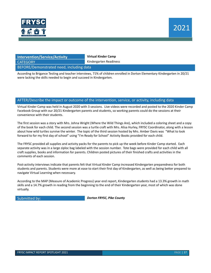

## **Intervention/Service/Activity Virtual Kinder Camp** CATEGORY **Kindergarten Readiness**

BEFORE/Demonstrated need, including data

According to Brigance Testing and teacher interviews, 71% of children enrolled in Dorton Elementary Kindergarten in 20/21 were lacking the skills needed to begin and succeed in Kindergarten.

### AFTER/Describe the impact or outcome of the intervention, service, or activity, including data

Virtual Kinder Camp was held in August 2020 with 3 sessions. Live videos were recorded and posted to the 2020 Kinder Camp Facebook Group with our 20/21 Kindergarten parents and students, so working parents could do the sessions at their convenience with their students.

The first session was a story with Mrs. Johna Wright (Where the Wild Things Are), which included a coloring sheet and a copy of the book for each child. The second session was a turtle craft with Mrs. Alisa Hurley, FRYSC Coordinator, along with a lesson about how wild turtles survive the winter. The topic of the third session hosted by Mrs. Amber Davis was "What to look forward to for my first day of school" using "I'm Ready for School" Activity Books provided for each child.

The FRYSC provided all supplies and activity packs for the parents to pick up the week before Kinder Camp started. Each separate activity was in a large ziploc bag labeled with the session number. Tote bags were provided for each child with all craft supplies, books and information for parents. Children posted pictures of their finished crafts and activities in the comments of each session.

Post-activity interviews indicate that parents felt that Virtual Kinder Camp increased Kindergarten preparedness for both students and parents. Students were more at ease to start their first day of Kindergarten, as well as being better prepared to navigate Virtual Learning when necessary.

According to the MAP (Measure of Academic Progress) year end report, Kindergarten students had a 13.3% growth in math skills and a 14.7% growth in reading from the beginning to the end of their Kindergarten year, most of which was done virtually.

Submitted by: *Dorton FRYSC, Pike County*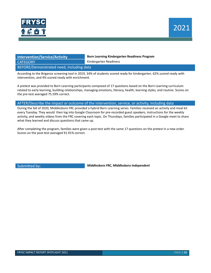

# CATEGORY **Kindergarten Readiness**

**Intervention/Service/Activity Born Learning Kindergarten Readiness Program**

BEFORE/Demonstrated need, including data

According to the Brigance screening tool in 2019, 34% of students scored ready for kindergarten. 62% scored ready with intervention, and 4% scored ready with enrichment.

A pretest was provided to Born Learning participants composed of 17 questions based on the Born Learning curriculum related to early learning, building relationships, managing emotions, literacy, health, learning styles, and routine. Scores on the pre-test averaged 75.59% correct.

#### AFTER/Describe the impact or outcome of the intervention, service, or activity, including data

During the fall of 2020, Middlesboro FRC provided a hybrid Born Learning series. Families received an activity and meal kit every Tuesday. They would then log into Google Classroom for pre-recorded guest speakers, instructions for the weekly activity, and weekly videos from the FRC covering each topic. On Thursdays, families participated in a Google meet to share what they learned and discuss questions that came up.

After completing the program, families were given a post-test with the same 17 questions on the pretest in a new order. Scores on the post-test averaged 91.91% correct.

Submitted by: *Middlesboro FRC, Middlesboro Independent*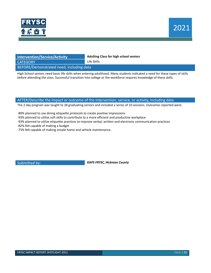

| Intervention/Service/Activity        |  |
|--------------------------------------|--|
| CATEGORY                             |  |
| REEORE/Domonstrated nood including a |  |

**Intervention/Service/Activity Adulting Class for high school seniors**

emonstrated need, including data

High School seniors need basic life skills when entering adulthood. Many students indicated a need for these types of skills before attending the class. Successful transition into college or the workforce requires knowledge of these skills.

#### AFTER/Describe the impact or outcome of the intervention, service, or activity, including data

Life Skills

The 2 day program was taught to 28 graduating seniors and included a series of 10 sessions. Outcomes reported were:

-89% planned to use dining etiquette protocols to create positive impressions

- -93% planned to utilize soft skills to contribute to a more efficient and productive workplace
- -93% planned to utilize etiquette practices to improve verbal, written and electronic communication practices

-82% felt capable of making a budget

-75% felt capable of making simple home and vehicle maintenance.

Submitted by: *KAPS FRYSC, Hickman County*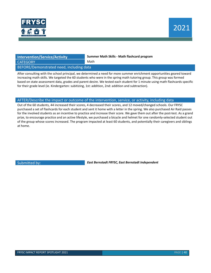

| <b>Intervention/Service/Activity</b>     | Summer Math Skills - Math flashcard program |  |
|------------------------------------------|---------------------------------------------|--|
| <b>CATEGORY</b>                          | Math                                        |  |
| BEFORE/Demonstrated need, including data |                                             |  |

After consulting with the school principal, we determined a need for more summer enrichment opportunities geared toward increasing math skills. We targeted the 60 students who were in the spring math tutoring group. This group was formed based on state assessment data, grades and parent desire. We tested each student for 1 minute using math flashcards specific for their grade level (ie. Kindergarten: subitizing, 1st: addition, 2nd: addition and subtraction).

#### AFTER/Describe the impact or outcome of the intervention, service, or activity, including data

Out of the 60 students, 44 increased their scores, 4 decreased their scores, and 12 moved/changed schools. Our FRYSC purchased a set of flashcards for each student and sent it home with a letter in the spring. We also purchased Air Raid passes for the involved students as an incentive to practice and increase their score. We gave them out after the post-test. As a grand prize, to encourage practice and an active lifestyle, we purchased a bicycle and helmet for one randomly-selected student out of the group whose scores increased. The program impacted at least 60 students, and potentially their caregivers and siblings at home.

Submitted by: *East Bernstadt FRYSC, East Bernstadt Independent*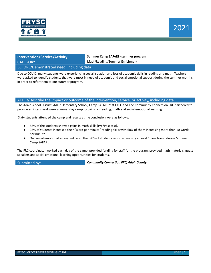

| ntervention/Service/Activity                     | Sum  |
|--------------------------------------------------|------|
| <b>CATEGORY</b>                                  | Matl |
| etch polinium haad in induding data termine data |      |

**Intervention/Service/Activity Summer Camp SAFARI - summer program**

h/Reading/Summer Enrichment

BEFORE/Demonstrated need, including data

Due to COVID, many students were experiencing social isolation and loss of academic skills in reading and math. Teachers were asked to identify students that were most in need of academic and social emotional support during the summer months in order to refer them to our summer program.

#### AFTER/Describe the impact or outcome of the intervention, service, or activity, including data

The Adair School District, Adair Elementary School, Camp SAFARI 21st CCLC and The Community Connection FRC partnered to provide an intensive 4 week summer day camp focusing on reading, math and social emotional learning.

Sixty students attended the camp and results at the conclusion were as follows:

- 88% of the students showed gains in math skills (Pre/Post test).
- 98% of students increased their "word per minute" reading skills with 60% of them increasing more than 10 words per minute.
- Our social emotional survey indicated that 90% of students reported making at least 1 new friend during Summer Camp SAFARI.

The FRC coordinator worked each day of the camp, provided funding for staff for the program, provided math materials, guest speakers and social emotional learning opportunities for students.

Submitted by: *Community Connection FRC, Adair County*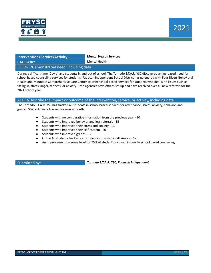

### **Intervention/Service/Activity Mental Health Services** CATEGORY **Mental Health**

BEFORE/Demonstrated need, including data

During a difficult time (Covid) and students in and out of school, The Tornado S.T.A.R. YSC discovered an increased need for school based counseling services for students. Paducah Independent School District has partnered with Four Rivers Behavioral Health and Mountain Comprehensive Care Center to offer school based services for students who deal with issues such as fitting in, stress, anger, sadness, or anxiety. Both agencies have offices set up and have received over 40 new referrals for the 2021 school year.

#### AFTER/Describe the impact or outcome of the intervention, service, or activity, including data

The Tornado S.T.A.R. YSC has tracked 40 students in school based services for attendance, stress, anxiety, behavior, and grades. Students were tracked for over a month.

- Students with no comparative information from the previous year 30
- Students who improved behavior and less referrals 15
- Students who improved their stress and anxiety 13
- Students who improved their self-esteem 20
- Students who improved grades 17
- Of the 40 students tracked 20 students improved in all areas -50%
- An improvement on some level for 75% of students involved in on-site school based counseling.

Submitted by: *Tornado S.T.A.R. YSC, Paducah Independent*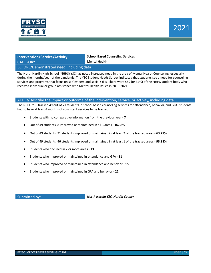

## **Intervention/Service/Activity School Based Counseling Services CATEGORY** Mental Health

BEFORE/Demonstrated need, including data

The North Hardin High School (NHHS) YSC has noted increased need in the area of Mental Health Counseling, especially during the months/year of the pandemic. The YSC Student Needs Survey indicated that students see a need for counseling services and programs that focus on self-esteem and social skills. There were 589 (or 37%) of the NHHS student body who received individual or group assistance with Mental Health issues in 2019-2021.

#### AFTER/Describe the impact or outcome of the intervention, service, or activity, including data

The NHHS YSC tracked 49 out of 71 students in school based counseling services for attendance, behavior, and GPA. Students had to have at least 4 months of consistent services to be tracked.

- Students with no comparative information from the previous year **7**
- Out of 49 students, 8 improved or maintained in all 3 areas **16.33%**
- Out of 49 students, 31 students improved or maintained in at least 2 of the tracked areas **63.27%**
- Out of 49 students, 46 students improved or maintained in at least 1 of the tracked areas **93.88%**
- Students who declined in 2 or more areas **13**
- Students who improved or maintained in attendance and GPA **11**
- Students who improved or maintained in attendance and behavior **15**
- Students who improved or maintained in GPA and behavior **22**

Submitted by: *North Hardin YSC, Hardin County*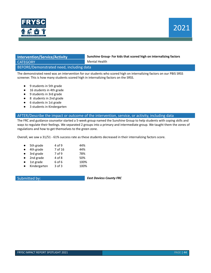

| <b>Intervention/Service/Activity</b>     | Sunshine Group-For kids that scored high on internalizing factors |  |
|------------------------------------------|-------------------------------------------------------------------|--|
| <b>CATEGORY</b>                          | Mental Health                                                     |  |
| BEFORE/Demonstrated need, including data |                                                                   |  |

The demonstrated need was an intervention for our students who scored high on internalizing factors on our PBIS SRSS screener. This is how many students scored high in internalizing factors on the SRSS.

- 9 students in 5th grade
- 16 students in 4th grade
- 9 students in 3rd grade
- 8 students in 2nd grade
- 6 students in 1st grade
- 3 students in Kindergarten

#### AFTER/Describe the impact or outcome of the intervention, service, or activity, including data

The FRC and guidance counselor started a 5-week group named the Sunshine Group to help students with coping skills and ways to regulate their feelings. We separated 2 groups into a primary and intermediate group. We taught them the zones of regulations and how to get themselves to the green zone.

Overall, we saw a 31/51 - 61% success rate as these students decreased in their internalizing factors score.

|  | 5th grade | 4 of 9 | 44% |
|--|-----------|--------|-----|
|--|-----------|--------|-----|

- 4th grade 7 of 16 44%
- 3rd grade 7 of 9 78%
- 2nd grade 4 of 8 50%
- 1st grade 6 of 6 100%
- Kindergarten 3 of 3 100%

Submitted by: *East Daviess County FRC*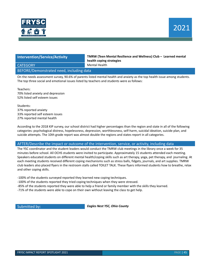

**Intervention/Service/Activity TMRW (Teen Mental Resilience and Wellness) Club – Learned mental health coping strategies** CATEGORY **Mental Health** 

### BEFORE/Demonstrated need, including data

On the needs assessment survey, 90.6% of parents listed mental health and anxiety as the top health issue among students. The top three social and emotional issues listed by teachers and students were as follows:

Teachers: 70% listed anxiety and depression 52% listed self esteem issues

Students: 37% reported anxiety 33% reported self esteem issues 27% reported mental health

According to the 2018 KIP survey, our school district had higher percentages than the region and state in all of the following categories: psychological distress, hopelessness, depression, worthlessness, self-harm, suicidal ideation, suicide plan, and suicide attempts. The 10th grade report was almost double the regions and states report in all categories.

#### AFTER/Describe the impact or outcome of the intervention, service, or activity, including data

The YSC coordinator and the student leaders would conduct the TMRW club meetings in the library once a week for 35 minutes before school. All OCHS students were invited to participate. Approximately 15 students attended each meeting. Speakers educated students on different mental health/coping skills such as art therapy, yoga, pet therapy, and journaling. At each meeting students received different coping mechanisms such as stress balls, fidgets, journals, and art supplies. TMRW club leaders also placed flyers in the restroom stalls called TOILET TALK. These flyers informed students how to breathe, relax and other coping skills.

-100% of the students surveyed reported they learned new coping techniques.

-100% of the students reported they tried coping techniques when they were stressed.

-85% of the students reported they were able to help a friend or family member with the skills they learned.

-71% of the students were able to cope on their own without leaving the class to get help.

Submitted by: *Eagles Nest YSC, Ohio County*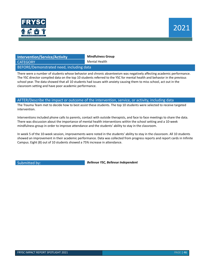

| <b>Intervention/Service/Activity</b>     | <b>Mindfulness Group</b> |  |  |
|------------------------------------------|--------------------------|--|--|
| <b>CATEGORY</b>                          | Mental Health            |  |  |
| BEFORE/Demonstrated need, including data |                          |  |  |

There were a number of students whose behavior and chronic absenteeism was negatively affecting academic performance. The YSC director compiled data on the top 10 students referred to the YSC for mental health and behavior in the previous school year. The data showed that all 10 students had issues with anxiety causing them to miss school, act out in the classroom setting and have poor academic performance.

#### AFTER/Describe the impact or outcome of the intervention, service, or activity, including data

The Trauma Team met to decide how to best assist these students. The top 10 students were selected to receive targeted intervention.

Interventions included phone calls to parents, contact with outside therapists, and face to face meetings to share the data. There was discussion about the importance of mental health interventions within the school setting and a 10-week mindfulness group in order to improve attendance and the students' ability to stay in the classroom.

In week 5 of the 10-week session, improvements were noted in the students' ability to stay in the classroom. All 10 students showed an improvement in their academic performance. Data was collected from progress reports and report cards in Infinite Campus. Eight (8) out of 10 students showed a 75% increase in attendance.

Submitted by: *Bellevue YSC, Bellevue Independent*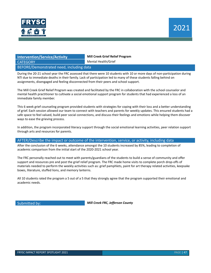

## **Intervention/Service/Activity Mill Creek Grief Relief Program** CATEGORY Mental Health/Grief

#### BEFORE/Demonstrated need, including data

During the 20-21 school year the FRC assessed that there were 10 students with 10 or more days of non-participation during NTI due to immediate deaths in their family. Lack of participation led to many of these students falling behind on assignments, disengaged and feeling disconnected from their peers and school support.

The Mill Creek Grief Relief Program was created and facilitated by the FRC in collaboration with the school counselor and mental health practitioner to cultivate a social emotional support program for students that had experienced a loss of an immediate family member.

This 6 week grief counseling program provided students with strategies for coping with their loss and a better understanding of grief. Each session allowed our team to connect with teachers and parents for weekly updates. This ensured students had a safe space to feel valued, build peer social connections, and discuss their feelings and emotions while helping them discover ways to ease the grieving process.

In addition, the program incorporated literacy support through the social emotional learning activities, peer relation support through arts and resources for parents.

#### AFTER/Describe the impact or outcome of the intervention, service, or activity, including data

After the conclusion of the 6 weeks, attendance amongst the 10 students increased by 85%, leading to completion of academic comparison from the initial start of the 2020-2021 school year.

The FRC personally reached out to meet with parents/guardians of the students to build a sense of community and offer support and resources pre and post the grief relief program. The FRC made home visits to complete porch drop-offs of materials needed to perform the weekly activities such as: grief pamphlets, paint for art therapy related activities, keepsake boxes, literature, stuffed lions, and memory lanterns.

All 10 students rated the program a 5 out of a 5 that they strongly agree that the program supported their emotional and academic needs.

Submitted by: *Mill Creek FRC, Jefferson County*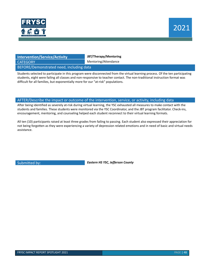

| <b>Intervention/Service/Activity</b> |  |                                                                                                                 |  |  |
|--------------------------------------|--|-----------------------------------------------------------------------------------------------------------------|--|--|
| CATEGORY                             |  |                                                                                                                 |  |  |
| -------                              |  | the contract of the contract of the contract of the contract of the contract of the contract of the contract of |  |  |

**JBT/Therapy/Mentoring** Mentoring/Attendance

BEFORE/Demonstrated need, including data

Students selected to participate in this program were disconnected from the virtual learning process. Of the ten participating students, eight were failing all classes and non-responsive to teacher contact. The non-traditional instruction format was difficult for all families, but exponentially more for our "at-risk" populations.

#### AFTER/Describe the impact or outcome of the intervention, service, or activity, including data

After being identified as severely at-risk during virtual learning, the YSC exhausted all measures to make contact with the students and families. These students were monitored via the YSC Coordinator, and the JBT program facilitator. Check-ins, encouragement, mentoring, and counseling helped each student reconnect to their virtual learning formats.

All ten (10) participants raised at least three grades from failing to passing. Each student also expressed their appreciation for not being forgotten as they were experiencing a variety of depression related emotions and in need of basic and virtual needs assistance.

Submitted by: *Eastern HS YSC, Jefferson County*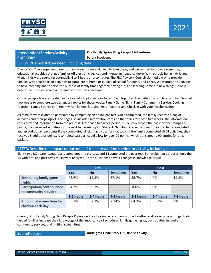

## **Intervention/Service/Activity Our Family Spring Fling Passport Adventures** CATEGORY **Parent Involvement** BEFORE/Demonstrated need, including data

Due to COVID, no in-person parent or family events were allowed to take place, and we wanted to provide some fun, educational activities that got families off electronic devices and interacting together more. With schools being hybrid and virtual, kids were spending potentially 4 to 6 hours on a computer. The FRC Advisory Council planned a way to provide families with a passport of activities to complete at home or outside of school for points and prizes. We wanted the activities to have meaning and to serve the purpose of family time together, having fun, and learning some fun new things. To help determine if this occurred, a pre-and post- test was developed.

Official passports were created and a total of 8 topics were included. Each topic had 8 activities to complete, and families had two weeks to complete two designated topics for those weeks: Family Game Night, Family Community Service, Cooking Together, Family Science Fun, Healthy Family, Arts & Crafts, Read Together and Check in with your Teacher/School.

All families were invited to participate by completing an online pre-test. Once completed, the family received a bag of activities and their passport. The bags also included information cards on the topics for those two weeks. The information cards provided information from the pre-test. After each two week period, students returned the passport for stamps and points, then received activities for the next two week topics. Students/families received a point for each activity completed and an additional two points if they completed all eight activities for that topic. If the family completed all 64 activities, they received 5 additional points. A complete passport could allow for over 90 points, which translated to 90 entries for prize baskets.

#### AFTER/Describe the impact or outcome of the intervention, service, or activity, including data

Eighty-two (82) parents/guardians completed the pre-test, and 14 completed the post-test. For evaluation purposes, only the 14 with pre- and post-test results were analyzed. Three questions showed changes in knowledge or skill.

|                                                      | <b>Pre</b> |           |           | Post      |           |                  |  |
|------------------------------------------------------|------------|-----------|-----------|-----------|-----------|------------------|--|
|                                                      | Yes        | No        | Sometimes | Yes       | No        | <b>Sometimes</b> |  |
| Scheduling family game<br>nights                     | 28.6%      | 14.3%     | 57.1%     | 85.7%     | 0%        | 14.3%            |  |
| Participation/contributions<br>to community services | 64.3%      | 35.7%     |           | 100%      | 0%        |                  |  |
|                                                      | 1-2 hours  | 2-4 hours | 4-6 hours | 1-2 hours | 2-4 hours | 4-6 hours        |  |
| Amount of screen time for<br>children each day       | 35.7%      | 57.1%     | 7.14%     | 64.3%     | 35.7%     | 0%               |  |

Overall, "Our Family Spring Fling Passport" provided positive impacts on family time together and learning new things. It also helped families increase their knowledge of the importance of scheduled family game nights, participating in family community services, and limiting screen time.

Submitted by: *Burlington Elementary FRC, Boone County*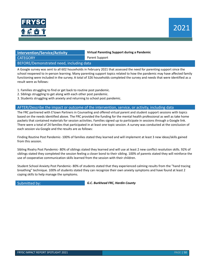

| <b>Intervention/Service/Activity</b>     | Virtual Parenting Support during a Pandemic |  |  |
|------------------------------------------|---------------------------------------------|--|--|
| <b>CATEGORY</b>                          | <b>Parent Support</b>                       |  |  |
| BEFORE/Demonstrated need, including data |                                             |  |  |

A Google survey was sent to all 602 households in February 2021 that assessed the need for parenting support since the school reopened to in-person learning. Many parenting support topics related to how the pandemic may have affected family functioning were included in the survey. A total of 326 households completed the survey and needs that were identified as a result were as follows:

- 1. Families struggling to find or get back to routine post pandemic.
- 2. Siblings struggling to get along with each other post pandemic.
- 3. Students struggling with anxiety and returning to school post pandemic.

#### AFTER/Describe the impact or outcome of the intervention, service, or activity, including data

The FRC partnered with E'town Partners in Counseling and offered virtual parent and student support sessions with topics based on the needs identified above. The FRC provided the funding for the mental health professional as well as take home packets that contained materials for session activities. Families signed up to participate in sessions through a Google link. There were a total of 24 families that participated in at least one topic session. A survey was conducted at the conclusion of each session via Google and the results are as follows:

Finding Routine Post Pandemic- 100% of families stated they learned and will implement at least 3 new ideas/skills gained from this session.

Sibling Rivalry Post Pandemic- 80% of siblings stated they learned and will use at least 2 new conflict resolution skills. 92% of siblings stated they completed the session feeling a closer bond to their sibling. 100% of parents stated they will reinforce the use of cooperative communication skills learned from the session with their children.

Student School Anxiety Post Pandemic- 80% of students stated that they experienced calming results from the "hand tracing breathing" technique. 100% of students stated they can recognize their own anxiety symptoms and have found at least 2 coping skills to help manage the symptoms.

Submitted by: *G.C. Burkhead FRC, Hardin County*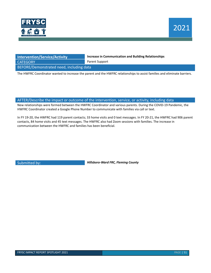

| <b>Intervention/Service/Activity</b>                                     |  |  |  |  |
|--------------------------------------------------------------------------|--|--|--|--|
| <b>CATEGORY</b>                                                          |  |  |  |  |
| $\mathbf{a} = \mathbf{a} \cdot \mathbf{a} = \mathbf{b} \cdot \mathbf{a}$ |  |  |  |  |

**Increase in Communication and Building Relationships** 

Parent Support

BEFORE/Demonstrated need, including data

The HWFRC Coordinator wanted to increase the parent and the HWFRC relationships to assist families and eliminate barriers.

#### AFTER/Describe the impact or outcome of the intervention, service, or activity, including data

New relationships were formed between the HWFRC Coordinator and various parents. During the COVID-19 Pandemic, the HWFRC Coordinator created a Google Phone Number to communicate with families via call or text.

In FY 19-20, the HWFRC had 119 parent contacts; 33 home visits and 0 text messages. In FY 20-21, the HWFRC had 906 parent contacts, 84 home visits and 45 text messages. The HWFRC also had Zoom sessions with families. The increase in communication between the HWFRC and families has been beneficial.

Submitted by: *Hillsboro-Ward FRC, Fleming County*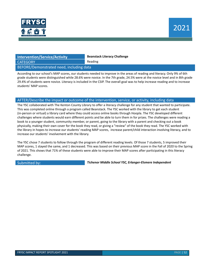

### **Intervention/Service/Activity Beanstack Literacy Challenge** CATEGORY **Reading** BEFORE/Demonstrated need, including data

According to our school's MAP scores, our students needed to improve in the areas of reading and literacy. Only 9% of 6th grade students were distinguished while 28.6% were novice. In the 7th grade, 24.5% were at the novice level and in 8th grade 29.4% of students were novice. Literacy is included in the CSIP. The overall goal was to help increase reading and to increase students' MAP scores.

#### AFTER/Describe the impact or outcome of the intervention, service, or activity, including data

The YSC collaborated with The Kenton County Library to offer a literacy challenge for any student that wanted to participate. This was completed online through a program called Beanstack. The YSC worked with the library to get each student (in-person or virtual) a library card where they could access online books through Hoopla. The YSC developed different challenges where students would earn different points and be able to turn them in for prizes. The challenges were reading a book to a younger student, community member, or parent, going to the library with a parent and checking out a book physically, making their own cover for the book they read, or giving a "review" of the book they read. The YSC worked with the library in hopes to increase our students' reading MAP scores, increase parent/child interaction involving literacy, and to increase our students' involvement with the library.

The YSC chose 7 students to follow through the program of different reading levels. Of those 7 students, 5 improved their MAP scores, 1 stayed the same, and 1 decreased. This was based on their previous MAP score in the Fall of 2020 to the Spring of 2021. This shows that 71% of these students were able to improve their MAP scores after participating in this literacy challenge.

Submitted by: *Tichenor Middle School YSC, Erlanger-Elsmere Independent*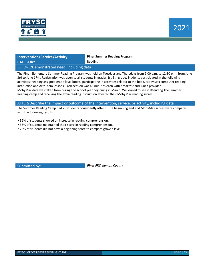

#### **Intervention/Service/Activity Piner Summer Reading Program**

CATEGORY **Reading** 

#### BEFORE/Demonstrated need, including data

The Piner Elementary Summer Reading Program was held on Tuesdays and Thursdays from 9:00 a.m. to 12:30 p.m. from June 3rd to June 17th. Registration was open to all students in grades 1st-5th grade. Students participated in the following activities: Reading assigned grade level books, participating in activities related to the book, MobyMax computer reading instruction and Art/ Stem lessons. Each session was 45 minutes each with breakfast and lunch provided. MobyMax data was taken from during the school year beginning in March. We looked to see if attending The Summer Reading camp and receiving the extra reading instruction affected their MobyMax reading scores.

#### AFTER/Describe the impact or outcome of the intervention, service, or activity, including data

The Summer Reading Camp had 28 students consistently attend. The beginning and end MobyMax scores were compared with the following results:

- 36% of students showed an increase in reading comprehension.
- 36% of students maintained their score in reading comprehension.
- 28% of students did not have a beginning score to compare growth level.

Submitted by: *Piner FRC, Kenton County*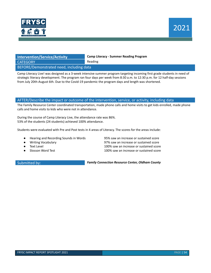

| <b>Intervention/Service/Activity</b>     | <b>Camp Literacy - Summer Reading Program</b> |  |
|------------------------------------------|-----------------------------------------------|--|
| <b>CATEGORY</b>                          | Reading                                       |  |
| BEFORE/Demonstrated need, including data |                                               |  |

Camp Literacy Live! was designed as a 3-week intensive summer program targeting incoming first grade students in need of strategic literacy development. The program ran four days per week from 8:30 a.m. to 12:30 p.m. for 12 half-day sessions from July 20th-August 6th. Due to the Covid-19 pandemic the program days and length was shortened.

#### AFTER/Describe the impact or outcome of the intervention, service, or activity, including data

The Family Resource Center coordinated transportation, made phone calls and home visits to get kids enrolled, made phone calls and home visits to kids who were not in attendance.

During the course of Camp Literacy Live, the attendance rate was 86%. 53% of the students (24 students) achieved 100% attendance.

Students were evaluated with Pre and Post tests in 4 areas of Literacy. The scores for the areas include:

- Hearing and Recording Sounds in Words 95% saw an increase or sustained score
- 
- 
- 

Writing Vocabulary **97% saw an increase or sustained score** Text Level **Text Level 100% saw an increase or sustained score** ● Slosson Word Test 100% saw an increase or sustained score

Submitted by: *Family Connection Resource Center, Oldham County*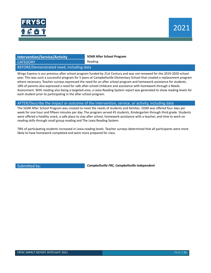

#### **Intervention/Service/Activity SOAR After School Program**

CATEGORY **Reading** 

#### BEFORE/Demonstrated need, including data

Wings Express is our previous after school program funded by 21st Century and was not renewed for the 2019-2020 school year. This was such a successful program for 5 years at Campbellsville Elementary School that created a replacement program where necessary. Teacher surveys expressed the need for an after school program and homework assistance for students. 18% of parents also expressed a need for safe after-school childcare and assistance with homework through a Needs Assessment. With reading also being a targeted area, a Lexia Reading System report was generated to show reading levels for each student prior to participating in the after school program.

#### AFTER/Describe the impact or outcome of the intervention, service, or activity, including data

The SOAR After School Program was created to meet the needs of students and families. SOAR was offered four days per week for one hour and fifteen minutes per day. The program served 45 students, Kindergarten through third grade. Students were offered a healthy snack, a safe place to stay after school, homework assistance with a teacher, and time to work on reading skills through small group reading and The Lexia Reading System.

78% of participating students increased in Lexia reading levels. Teacher surveys determined that all participants were more likely to have homework completed and were more prepared for class.

Submitted by: *Campbellsville FRC, Campbellsville Independent*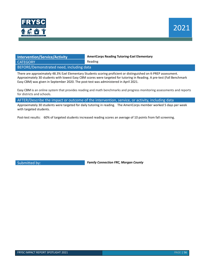

| <b>Intervention/Service/Activity</b>     | <b>AmeriCorps Reading Tutoring-Ezel Elementary</b> |  |
|------------------------------------------|----------------------------------------------------|--|
| <b>CATEGORY</b>                          | Reading                                            |  |
| BEFORE/Demonstrated need, including data |                                                    |  |

There are approximately 48.3% Ezel Elementary Students scoring proficient or distinguished on K-PREP assessment. Approximately 30 students with lowest Easy CBM scores were targeted for tutoring in Reading. A pre-test (Fall Benchmark Easy CBM) was given in September 2020. The post-test was administered in April 2021.

Easy CBM is an online system that provides reading and math benchmarks and progress monitoring assessments and reports for districts and schools.

AFTER/Describe the impact or outcome of the intervention, service, or activity, including data

Approximately 30 students were targeted for daily tutoring in reading. The AmeriCorps member worked 5 days per week with targeted students.

Post-test results: 60% of targeted students increased reading scores an average of 10 points from fall screening.

Submitted by: *Family Connection FRC, Morgan County*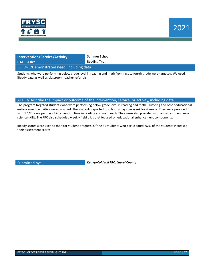

| <b>Intervention/Service/Activity</b>     | <b>Summer School</b> |  |
|------------------------------------------|----------------------|--|
| <b>CATEGORY</b>                          | Reading/Math         |  |
| BEFORE/Demonstrated need, including data |                      |  |

Students who were performing below grade level in reading and math from first to fourth grade were targeted. We used iReady data as well as classroom teacher referrals.

#### AFTER/Describe the impact or outcome of the intervention, service, or activity, including data

The program targeted students who were performing below grade level in reading and math. Tutoring and other educational enhancement activities were provided. The students reported to school 4 days per week for 4 weeks. They were provided with 1 1/2 hours per day of intervention time in reading and math each. They were also provided with activities to enhance science skills. The FRC also scheduled weekly field trips that focused on educational enhancement components.

iReady scores were used to monitor student progress. Of the 45 students who participated, 92% of the students increased their assessment scores.

Submitted by: *Keavy/Cold Hill FRC, Laurel County*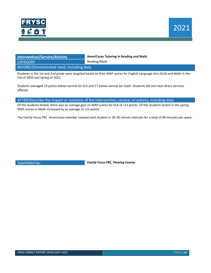

| Intervention/Service/Activity\ | <b>AmeriCorps Tu</b> |
|--------------------------------|----------------------|
| <b>CATEGORY</b>                | Reading/Math         |
|                                |                      |

**Intervention Findally** *Reading* **and Math</u>** 

BEFORE/Demonstrated need, including data

Students in the 1st and 2nd grade were targeted based on their MAP scores for English Language Arts (ELA) and Math in the Fall of 2020 and Spring of 2021.

Students averaged 19 points below normal for ELA and 17 below normal for math. Students did not have direct services offered.

#### AFTER/Describe the impact or outcome of the intervention, service, or activity, including data

Of the students tested, there was an average gain on MAP scores for ELA of +11 points. Of the students tested in the spring MAP, scores in Math increased by an average of +15 points.

The Family Focus FRC Americorps member tutored each student in 20-30 minute intervals for a total of 90 minutes per week.

Submitted by: *Family Focus FRC, Fleming County*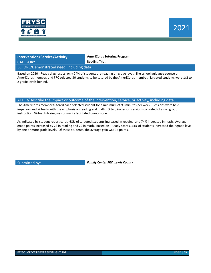

| <b>Intervention/Service/Activity</b> |  |  |
|--------------------------------------|--|--|
| CATEGORY                             |  |  |
| RFFORF/Demonstrated need includin    |  |  |

**Intervention/Service/Activity AmeriCorps Tutoring Program**

Reading/Math

BEFORE/Demonstrated need, including data

Based on 2020 i-Ready diagnostics, only 24% of students are reading on grade level. The school guidance counselor, AmeriCorps member, and FRC selected 30 students to be tutored by the AmeriCorps member. Targeted students were 1/2 to 2 grade levels behind.

#### AFTER/Describe the impact or outcome of the intervention, service, or activity, including data

The AmeriCorps member tutored each selected student for a minimum of 90 minutes per week. Sessions were held in-person and virtually with the emphasis on reading and math. Often, in-person sessions consisted of small group instruction. Virtual tutoring was primarily facilitated one-on-one.

As indicated by student report cards, 68% of targeted students increased in reading, and 74% increased in math. Average grade points increased by 23 in reading and 22 in math. Based on i-Ready scores, 54% of students increased their grade level by one or more grade levels. Of these students, the average gain was 35 points.

Submitted by: *Family Center FRC, Lewis County*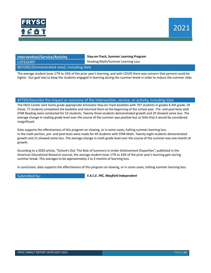

# CATEGORY **Reading/Math/Summer Learning Loss**

**Intervention/Service/Activity Stay-on-Track, Summer Learning Program**

BEFORE/Demonstrated need, including data

The average student loses 17% to 34% of the prior year's learning, and with COVID there was concern that percent could be higher. Our goal was to keep the students engaged in learning during the summer break in order to reduce the summer slide.

#### AFTER/Describe the impact or outcome of the intervention, service, or activity, including data

The FACE Center sent home grade appropriate Scholastic Stay-on-Track booklets with 797 students in grades K-4th grade. Of those, 77 students completed the booklets and returned them at the beginning of the school year. Pre- and post-tests with STAR Reading were conducted for 52 students. Twenty-three students demonstrated growth and 29 showed some loss. The average change in reading grade level over the course of the summer was positive but so little that it would be considered insignificant.

Data supports the effectiveness of this program on slowing, or in some cases, halting summer learning loss. In the math portion, pre- and post-tests were made for 49 students with STAR Math. Twenty-eight students demonstrated growth and 21 showed some loss. The average change in math grade level over the course of the summer was one month of growth.

According to a 2020 article, "School's Out: The Role of Summers in Under Achievement Disparities", published in the American Educational Research Journal, the average student loses 17% to 34% of the prior year's learning gain during summer break. This averages to be approximately 2 to 3 months of learning loss.

In conclusion, data supports the effectiveness of this program on slowing, or in some cases, halting summer learning loss.

Submitted by: *F.A.C.E. FRC, Mayfield Independent*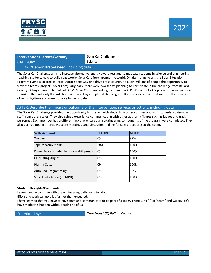

#### **Intervention/Service/Activity Solar Car Challenge**

CATEGORY Science And The Science

#### BEFORE/Demonstrated need, including data

The Solar Car Challenge aims to increase alternative energy awareness and to motivate students in science and engineering, teaching students how to build roadworthy Solar Cars from around the world. On alternating years, the Solar Education Program Event is located at Texas Motor Speedway or a drive cross-country, to allow millions of people the opportunity to view the teams' projects (Solar Cars). Originally, there were two teams planning to participate in the challenge from Ballard County. A boys team -- The Ballard B-17's Solar Car Team and a girls team -- WASP (Women's Air Corp Service Patrol Solar Car Team). In the end, only the girls team with one boy completed the program. Both cars were built, but many of the boys had other obligations and were not able to participate.

#### AFTER/Describe the impact or outcome of the intervention, service, or activity, including data

The Solar Car Challenge provided the opportunity to interact with students in other cultures and with students, advisors, and staff from other states. They also gained experience communicating with other authority figures such as judges and track personnel. Each member had a different job that ensured all scrutineering components of the program were completed. They also participated in interviews, team meetings, and discussion making for safe procedures at the event.

| <b>Skills Acquired</b>                      | <b>BEFORE</b> | <b>AFTER</b> |
|---------------------------------------------|---------------|--------------|
| Welding                                     | 0%            | 88%          |
| <b>Tape Measurements</b>                    | 38%           | 100%         |
| Power Tools (grinder, handsaw, drill press) | $10\%$        | 100%         |
| <b>Calculating Angles</b>                   | 0%            | 100%         |
| Plasma Cutter                               | 0%            | 100%         |
| <b>Auto Cad Programming</b>                 | 0%            | 50%          |
| Speed Calculation (KL-MPH)                  | 0%            | 100%         |

#### **Student Thoughts/Comments:**

I should really continue with the engineering path I'm going down.

Effort and work can go a lot farther than expected.

I have learned that you have to have trust and communicate to be part of a team. There is no "I" in "team" and we couldn't have made this happen without each one of us.

Submitted by: *Teen Focus YSC, Ballard County*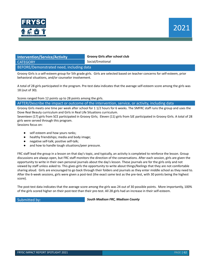

#### **Intervention/Service/Activity Groovy Girls after school club CATEGORY** Social/Emotional

BEFORE/Demonstrated need, including data

Groovy Girls is a self-esteem group for 5th grade girls. Girls are selected based on teacher concerns for self-esteem, prior behavioral situations, and/or counselor involvement.

A total of 28 girls participated in the program. Pre-test data indicates that the average self-esteem score among the girls was 18 (out of 30).

Scores ranged from 12 points up to 28 points among the girls.

AFTER/Describe the impact or outcome of the intervention, service, or activity, including data

Groovy Girls meets one time per week after school for 1 1/2 hours for 6 weeks. The SMFRC staff runs the group and uses the Dove Real Beauty curriculum and Girls in Real Life Situations curriculum.

Seventeen (17) girls from SCE participated in Groovy Girls; Eleven (11) girls from SJE participated in Groovy Girls. A total of 28 girls were served through this program.

Sessions focus on:

- self esteem and how yours ranks;
- healthy friendships; media and body image;
- negative self-talk; positive self-talk;
- and how to handle tough situations/peer pressure.

FRC staff lead the group in a lesson on that day's topic, and typically, an activity is completed to reinforce the lesson. Group discussions are always open, but FRC staff monitors the direction of the conversations. After each session, girls are given the opportunity to write in their own personal journals about the day's lesson. These journals are for the girls only and not viewed by staff unless asked to. This gives girls the opportunity to write about things/feelings that they are not comfortable sharing aloud. Girls are encouraged to go back through their folders and journals as they enter middle school as they need to. After the 6-week sessions, girls were given a post-test (the exact same test as the pre-test, with 30 points being the highest score).

The post-test data indicates that the average score among the girls was 24 out of 30 possible points. More importantly, 100% of the girls scored higher on their post-test than their pre-test. All 28 girls had an increase in their self-esteem.

Submitted by: *South Madison FRC, Madison County*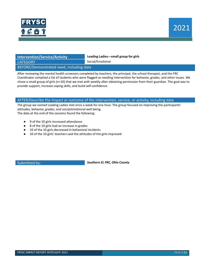

### **Intervention/Service/Activity Leading Ladies---small group for girls**

CATEGORY Social/Emotional

BEFORE/Demonstrated need, including data

After reviewing the mental health screeners completed by teachers, the principal, the school therapist, and the FRC Coordinator compiled a list of students who were flagged as needing intervention for behavior, grades, and other issues. We chose a small group of girls (n=10) that we met with weekly after obtaining permission from their guardian. The goal was to provide support, increase coping skills, and build self-confidence.

#### AFTER/Describe the impact or outcome of the intervention, service, or activity, including data

The group we named Leading Ladies met once a week for one hour. The group focused on improving the participants' attitudes, behavior, grades, and social/emotional well being. The data at the end of the sessions found the following:

- 9 of the 10 girls increased attendance
- 8 of the 10 girls had an increase in grades
- 10 of the 10 girls decreased in behavioral incidents
- 10 of the 10 girls' teachers said the attitudes of the girls improved

Submitted by: *Southern EL FRC, Ohio County*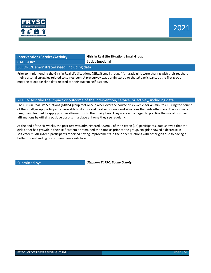

# CATEGORY Social/Emotional

**Intervention/Service/Activity Girls in Real Life Situations Small Group**

BEFORE/Demonstrated need, including data

Prior to implementing the Girls in Real Life Situations (GIRLS) small group, fifth-grade girls were sharing with their teachers their personal struggles related to self-esteem. A pre-survey was administered to the 16 participants at the first group meeting to get baseline data related to their current self-esteem.

#### AFTER/Describe the impact or outcome of the intervention, service, or activity, including data

The Girls in Real Life Situations (GIRLS) group met once a week over the course of six weeks for 45 minutes. During the course of the small group, participants were able to discuss and deal with issues and situations that girls often face. The girls were taught and learned to apply positive affirmations to their daily lives. They were encouraged to practice the use of positive affirmations by utilizing positive post-its in a place at home they see regularly.

At the end of the six weeks, the post-test was administered. Overall, of the sixteen (16) participants, data showed that the girls either had growth in their self-esteem or remained the same as prior to the group. No girls showed a decrease in self-esteem. All sixteen participants reported having improvements in their peer relations with other girls due to having a better understanding of common issues girls face.

Submitted by: *Stephens EL FRC, Boone County*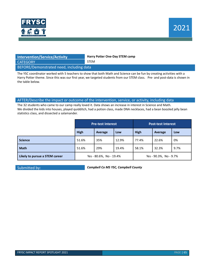

| <b>Intervention/Service/Activity</b>     | Harry Potter One-Day STEM camp |  |  |
|------------------------------------------|--------------------------------|--|--|
| <b>CATEGORY</b>                          | <b>STEM</b>                    |  |  |
| BEFORE/Demonstrated need, including data |                                |  |  |

The YSC coordinator worked with 5 teachers to show that both Math and Science can be fun by creating activities with a Harry Potter theme. Since this was our first year, we targeted students from our STEM class. Pre- and post-data is shown in the table below.

#### AFTER/Describe the impact or outcome of the intervention, service, or activity, including data

The 32 students who came to our camp really loved it. Data shows an increase in interest in Science and Math. We divided the kids into houses, played quidditch, had a potion class, made DNA necklaces, had a bean boozled jelly bean statistics class, and dissected a salamander.

|                                | <b>Pre-test Interest</b> |         |                        | <b>Post-test Interest</b> |         |      |
|--------------------------------|--------------------------|---------|------------------------|---------------------------|---------|------|
|                                | High                     | Average | Low                    | <b>High</b>               | Average | Low  |
| <b>Science</b>                 | 51.6%                    | 35%     | 12.9%                  | 77.4%                     | 22.6%   | 0%   |
| <b>Math</b>                    | 51.6%                    | 29%     | 19.4%                  | 58.1%                     | 32.3%   | 9.7% |
| Likely to pursue a STEM career | Yes - 80.6%, No - 19.4%  |         | Yes - 90.3%, No - 9.7% |                           |         |      |

Submitted by: *Campbell Co MS YSC, Campbell County*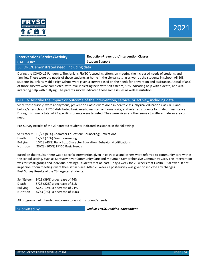

**Intervention/Service/Activity Reduction-Prevention/Intervention Classes**

CATEGORY Student Support

#### BEFORE/Demonstrated need, including data

During the COVID-19 Pandemic, The Jenkins FRYSC focused its efforts on meeting the increased needs of students and families. These were the needs of those students at home in the virtual setting as well as the students in school. All 208 students in Jenkins Middle High School were given a survey based on the needs for prevention and assistance. A total of 85% of those surveys were completed, with 78% indicating help with self esteem, 53% indicating help with a death, and 40% indicating help with bullying. The parents survey indicated those same issues as well as nutrition.

#### AFTER/Describe the impact or outcome of the intervention, service, or activity, including data

Since these surveys were anonymous, prevention classes were done in health class, physical education class, RTI, and before/after school. FRYSC distributed basic needs, assisted on home visits, and referred students for in depth assistance. During this time, a total of 23 specific students were targeted. They were given another survey to differentiate an area of need.

Pre-Survey Results of the 23 targeted students indicated assistance in the following:

Self Esteem 19/23 (83%) Character Education; Counseling; Reflections

- Death 17/23 (73%) Grief Counseling
- Bullying 10/23 (43%) Bully Box; Character Education; Behavior Modifications

Nutrition 23/23 (100%) FRYSC Basic Needs

Based on the results, there was a specific intervention given in each case and others were referred to community care within the school setting. Such as Kentucky River Community Care and Mountain Comprehensive Community Care. The intervention was for small groups and individual settings. Students met at least 1 day a week for 20 weeks that COVID-19 allowed. If not in-person, zoom meetings were then set in place. After 20 weeks a post-survey was given to indicate any changes. Post Survey Results of the 23 targeted students:

|                 | Self Esteem 9/23 (39%) a decrease of 44% |
|-----------------|------------------------------------------|
| Death           | 5/23 (22%) a decrease of 51%             |
| <b>Bullying</b> | 5/23 (22%) a decrease of 21%             |
| Nutrition       | 0/23 (0%) a decrease of 100%             |

All programs had intended outcomes to assist in student's needs.

Submitted by: *Jenkins FRYSC, Jenkins Independent*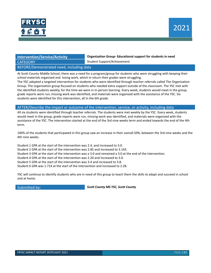

**Intervention/Service/Activity Organization Group- Educational support for students in need**

CATEGORY Student Support/Achievement

#### BEFORE/Demonstrated need, including data

At Scott County Middle School, there was a need for a program/group for students who were struggling with keeping their school materials organized and losing work, which in return their grades were struggling.

The YSC adopted a targeted intervention for students who were identified through teacher referrals called The Organization Group. The organization group focused on students who needed extra support outside of the classroom. The YSC met with the identified students weekly, for the time we were in in-person learning. Every week, students would meet in the group, grade reports were run, missing work was identified, and materials were organized with the assistance of the YSC. Six students were identified for this intervention, all in the 6th grade.

#### AFTER/Describe the impact or outcome of the intervention, service, or activity, including data

All six students were identified through teacher referrals. The students were met weekly by the YSC. Every week, students would meet in the group, grade reports were run, missing work was identified, and materials were organized with the assistance of the YSC. The intervention started at the end of the 3rd nine weeks term and ended towards the end of the 4th term.

100% of the students that participated in this group saw an increase in their overall GPA, between the 3rd nine weeks and the 4th nine weeks.

Student 1 GPA at the start of the intervention was 2.4, and increased to 3.0. Student 2 GPA at the start of the intervention was 2.85 and increased to 3.143. Student 3 GPA at the start of the intervention was a 3.0 and remained a 3.0 at the end of the intervention. Student 4 GPA at the start of the intervention was 2.20 and increased to 3.0. Student 5 GPA at the start of the intervention was 3.4 and increased to 3.8. Student 6 GPA was 1.714 at the start of the intervention and increased to 2.28.

YSC will continue to identify students who are in need of this group to teach them the skills to adapt and succeed in school and at home.

Submitted by: *Scott County MS YSC, Scott County*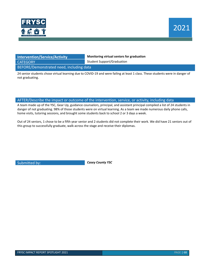

# **CATEGORY** Student Support/Graduation

**Intervention/Service/Activity Monitoring virtual seniors for graduation**

BEFORE/Demonstrated need, including data

24 senior students chose virtual learning due to COVID-19 and were failing at least 1 class. These students were in danger of not graduating.

#### AFTER/Describe the impact or outcome of the intervention, service, or activity, including data

A team made up of the YSC, Gear Up, guidance counselors, principal, and assistant principal compiled a list of 24 students in danger of not graduating. 98% of those students were on virtual learning. As a team we made numerous daily phone calls, home visits, tutoring sessions, and brought some students back to school 2 or 3 days a week.

Out of 24 seniors, 1 chose to be a fifth year senior and 2 students did not complete their work. We did have 21 seniors out of this group to successfully graduate, walk across the stage and receive their diplomas.

Submitted by: *Casey County YSC*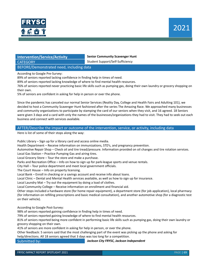

#### **Intervention/Service/Activity Senior Community Scavenger Hunt**

CATEGORY Student Support/Self-Sufficiency

BEFORE/Demonstrated need, including data

According to Google Pre-Survey:

89% of seniors reported lacking confidence in finding help in times of need.

89% of seniors reported lacking knowledge of where to find mental health resources.

76% of seniors reported never practicing basic life skills such as pumping gas, doing their own laundry or grocery shopping on their own.

5% of seniors are confident in asking for help in person or over the phone.

Since the pandemic has canceled our normal Senior Services (Reality Day, College and Health Fairs and Adulting 101), we decided to host a Community Scavenger Hunt fashioned after the series The Amazing Race. We approached many businesses and community organizations to participate by stamping the card of our seniors when they visit, and 16 agreed. 18 Seniors were given 3 days and a card with only the names of the businesses/organizations they had to visit. They had to seek out each business and connect with services available.

#### AFTER/Describe the impact or outcome of the intervention, service, or activity, including data

Here is list of some of their stops along the way:

Public Library – Sign up for a library card and access online media.

Health Department – Receive information on immunizations, STD's, and pregnancy prevention.

Automotive Repair Shop – Check oil and tire tread/pressure. Information provided on oil changes and tire rotation services.

Local Gas Station – Practice Pumping Gas and airing tires.

Local Grocery Store – Tour the store and make a purchase.

Parks and Recreation Office – Info on how to sign up for park-league sports and venue rentals.

City Hall – Tour police department and meet local government officials.

The Court House – Info on property licensing.

Local Bank – Enroll in checking or a savings account and receive info about loans.

Local Clinic – Dental and Mental Health services available, as well as how to sign up for insurance.

Local Laundry Mat – Try out the equipment by doing a load of clothes.

Local Community College – Receive information on enrollment and financial aid.

Other stops included a hardware store (for home repair equipment), a department store (for job application), local pharmacy (for information on refilling prescriptions and basic medical consultation), and another automotive shop (for a diagnostic test on their vehicle).

According to Google Post-Survey:

98% of seniors reported gaining confidence in finding help in times of need.

79% of seniors reported gaining knowledge of where to find mental health resources.

81% of seniors reported being more confident in performing basic life skills such as pumping gas, doing their own laundry or grocery shopping on their own.

41% of seniors are more confident in asking for help in person, or over the phone.

Other feedback: 5 seniors said that the most challenging part of the event was picking up the phone and asking for help/directions. All 18 seniors agreed that 3 days was too long for a competition.

Submitted by: *Jackson City FRYSC, Jackson Independent*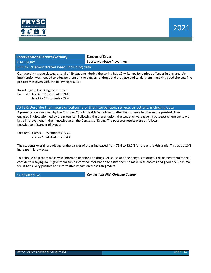

## **Intervention/Service/Activity Dangers of Drugs CATEGORY** Substance Abuse Prevention

#### BEFORE/Demonstrated need, including data

Our two sixth grade classes, a total of 49 students, during the spring had 12 write ups for various offenses in this area. An intervention was needed to educate them on the dangers of drugs and drug use and to aid them in making good choices. The pre-test was given with the following results :

Knowledge of the Dangers of Drugs: Pre test - class #1 - 25 students - 74% class #2 - 24 students - 72%

#### AFTER/Describe the impact or outcome of the intervention, service, or activity, including data

A presentation was given by the Christian County Health Department, after the students had taken the pre-test. They engaged in discussion led by the presenter. Following the presentation, the students were given a post-test where we saw a large improvement in their knowledge on the Dangers of Drugs. The post test results were as follows: Knowledge of Danger of Drugs:

Post test - class #1 - 25 students - 93% class #2 - 24 students - 94%

The students overall knowledge of the danger of drugs increased from 73% to 93.5% for the entire 6th grade. This was a 20% increase in knowledge.

This should help them make wise informed decisions on drugs , drug use and the dangers of drugs. This helped them to feel confident in saying no. It gave them some informed information to assist them to make wise choices and good decisions. We feel it had a very positive and informative impact on these 6th graders.

Submitted by: *Connections FRC, Christian County*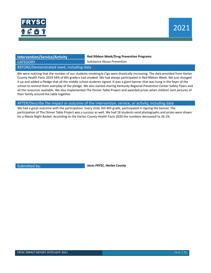

**Intervention/Service/Activity Red Ribbon Week/Drug Prevention Programs**

**CATEGORY** Substance Abuse Prevention

#### BEFORE/Demonstrated need, including data

We were noticing that the number of our students smoking/e-Cigs were drastically increasing. The data provided from Harlan County Health Facts 2019 34% of 8th graders had smoked. We had always participated in Red Ribbon Week. We just changed it up and added a Pledge that all the middle school students signed. It was a giant banner that was hung in the foyer of the school to remind them everyday of the pledge. We also started sharing Kentucky Regional Prevention Center Safety Flyers and all the resources available. We also implemented The Dinner Table Project and awarded prizes when children sent pictures of their family around the table together.

#### AFTER/Describe the impact or outcome of the intervention, service, or activity, including data

We had a great outcome with the participation. Every child, 6th-8th grade, participated in signing the banner. The participation of The Dinner Table Project was a success as well. We had 18 students send photographs and prizes were drawn for a Movie Night Basket. According to the Harlan County Health Facts 2020 the numbers decreased to 26.1%.

Submitted by: *Jaces FRYSC, Harlan County*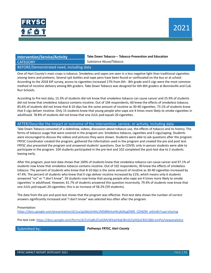

# **CATEGORY Substance Abuse/Tobacco Substance Abuse/Tobacco**

**Intervention/Service/Activity Take Down Tobacco--- Tobacco Prevention and Education**

BEFORE/Demonstrated need, including data

One of Hart County's main crops is tobacco. Smokeless and vapes are seen in a less negative light than traditional cigarettes among teens and preteens. Several spit bottles and vape pens have been found or confiscated on the bus or at school. According to the 2018 KIP survey, access to cigarettes increased 17% from 6th - 8th grade and E-cigs were the most common method of nicotine delivery among 8th graders. Take Down Tobacco was designed for 6th-8th graders at Bonnieville and Cub Run Schools.

According to Pre-test data, 15.3% of students did not know that smokeless tobacco can cause cancer and 25.9% of students did not know that smokeless tobacco contains nicotine. Out of 104 respondents, 60 knew the effects of smokeless tobacco. 85.6% of students did not know that 8-10 dips has the same amount of nicotine as 30-40 cigarettes. 73.1% of students knew that E-cigs deliver nicotine. Only 15 students knew that young people who vape are 4 times more likely to smoke cigarettes in adulthood. 78.8% of students did not know that one JUUL pod equals 20 cigarettes.

#### AFTER/Describe the impact or outcome of the intervention, service, or activity, including data

Take Down Tobacco consisted of a slideshow, videos, discussion about tobacco use, the effects of tobacco and its history. The forms of tobacco usage that were covered in the program are: Smokeless tobacco, cigarettes and E-cigs/vaping. Students were encouraged to discuss the videos and pictures they were shown. Students were able to ask questions after the program. FRYSC Coordinator created the program, gathered the information used in the program and created the pre and post test. FRYSC also presented the program and answered students' questions. Due to COVID, only in-person students were able to participate in the program. 104 students participated in the pre-test and 102 completed the post-test due to 2 students leaving early.

After the program, post-test data shows that 100% of students knew that smokeless tobacco can cause cancer and 97.1% of students now knew that smokeless tobacco contains nicotine. Out of 102 respondents, 90 knew the effects of smokeless tobacco. The percent of students who knew that 8-10 dips is the same amount of nicotine as 30-40 cigarettes increased by 47.4%. The percent of students who knew that E-cigs deliver nicotine increased by 21%; which means only 6 students answered "no" or "I don't know". 39 students now know that young people who vape are 4 times more likely to smoke cigarettes' in adulthood. However, 61.7% of students answered this question incorrectly. 79.4% of students now know that one JUUL pod equals 20 cigarettes; this is an increase of 58.2% (59 students).

The data from the pre and post-test shows that the program was effective. Post-test data shows the number of correct answers significantly increased and "I don't know" was selected less often after the program.

#### Presentation:

[https://docs.google.com/presentation/d/1ca1gzfakJzh4Az1MSBMvluH4Ljk0AzgDW8\\_CEMZM\\_p4/edit?usp=sharing](https://docs.google.com/presentation/d/1ca1gzfakJzh4Az1MSBMvluH4Ljk0AzgDW8_CEMZM_p4/edit?usp=sharing)

Pre-test Link: <https://docs.google.com/forms/d/1UUqBLZCwGMvW5wh4qEi8InZvCpHjSoCB3rQ8d-omPxI/viewanalytics>

Submitted by: *Pathways FRYSC, Hart County*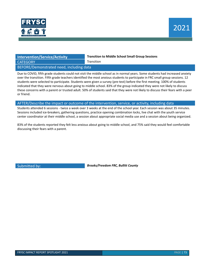

## CATEGORY **Transition**

**Intervention/Service/Activity Transition to Middle School Small Group Sessions**

#### BEFORE/Demonstrated need, including data

Due to COVID, fifth grade students could not visit the middle school as in normal years. Some students had increased anxiety over the transition. Fifth grade teachers identified the most anxious students to participate in FRC small group sessions. 12 students were selected to participate. Students were given a survey (pre-test) before the first meeting. 100% of students indicated that they were nervous about going to middle school. 83% of the group indicated they were not likely to discuss these concerns with a parent or trusted adult. 50% of students said that they were not likely to discuss their fears with a peer or friend.

#### AFTER/Describe the impact or outcome of the intervention, service, or activity, including data

Students attended 6 sessions - twice a week over 3 weeks at the end of the school year. Each session was about 35 minutes. Sessions included ice-breakers, gathering questions, practice opening combination locks, live chat with the youth service center coordinator at their middle school, a session about appropriate social media use and a session about being organized.

83% of the students reported they felt less anxious about going to middle school, and 75% said they would feel comfortable discussing their fears with a parent.

Submitted by: *Brooks/Freedom FRC, Bullitt County*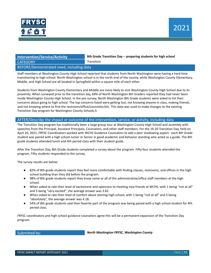

### **Intervention/Service/Activity 8th Grade Transition Day -- preparing students for high school CATEGORY Transition** BEFORE/Demonstrated need, including data

Staff members at Washington County High School reported that students from North Washington were having a hard time transitioning to high school. North Washington school is in the north end of the county, while Washington County Elementary, Middle, and High School are all located in Springfield within a square mile of each other.

Students from Washington County Elementary and Middle are more likely to visit Washington County High School due to its proximity. When surveyed prior to the transition day, 69% of North Washington 8th Graders reported they had never been inside Washington County High School. In the pre-survey, North Washington 8th Grade students were asked to list their concerns about going to high school. The top concerns listed were getting lost, not knowing anyone in class, making friends, and not knowing where to find the restroom/office/counselor/etc. This data was used to make changes to the existing Transition Day program for Washington County Schools.h

#### AFTER/Describe the impact or outcome of the intervention, service, or activity, including data

The Transition Day program has traditionally been a large group tour at Washington County High School and assembly with speeches from the Principal, Assistant Principals, Counselors, and other staff members. For the 19-20 Transition Day, held on April 20, 2021, FRYSC Coordinators worked with WCHS Guidance Counselors to add a peer shadowing aspect: each 8th Grade student was paired with a high school Junior or Senior in good academic and behavior standing who acted as a guide. The 8th grade students attended lunch and 4th period class with their student guide.

After the Transition Day, 8th Grade students completed a survey about the program. Fifty-four students attended the program. Fifty students responded to the survey.

The survey results are below:

- 82% of 8th grade students report they feel more comfortable with finding classes, restrooms, and offices in the high school building than they did before the program.
- 98% of 8th grade students report they know some or all of the administrative/office staff members at the high school.
- When asked to rate their level of excitement and openness to meeting new friends at WCHS, with 1 being "not at all" and 5 being "very excited", the average answer was 3.82.
- When asked to rate their level of comfort about starting high school, with 1 being "not at all" and 5 being "absolutely", the average answer was 4.18.
- 54% of 8th grade students said their favorite part of the program was being paired with a high school student for 4th period class.

FRYSC coordinators and high school guidance counselors agree this will be a permanent expansion of the Transition Day program.

Submitted by: *North Washington FRYSC, Washington County*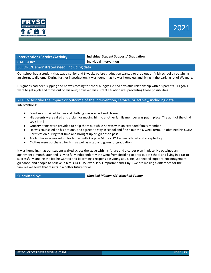

## **CATEGORY Individual Intervention**

**Intervention/Service/Activity Individual Student Support / Graduation**

BEFORE/Demonstrated need, including data

Our school had a student that was a senior and 6 weeks before graduation wanted to drop out or finish school by obtaining an alternate diploma. During further investigation, it was found that he was homeless and living in the parking lot of Walmart.

His grades had been slipping and he was coming to school hungry. He had a volatile relationship with his parents. His goals were to get a job and move out on his own; however, his current situation was preventing those possibilities.

#### AFTER/Describe the impact or outcome of the intervention, service, or activity, including data

Interventions:

- Food was provided to him and clothing was washed and cleaned.
- His parents were called and a plan for moving him to another family member was put in place. The aunt of the child took him in.
- Grocery items were provided to help them out while he was with an extended family member.
- He was counseled on his options, and agreed to stay in school and finish out the 6-week term. He obtained his OSHA Certification during that time and brought up his grades to pass.
- A job interview was set up for him at Pella Corp. in Murray, KY. He was offered and accepted a job.
- Clothes were purchased for him as well as a cap and gown for graduation.

It was humbling that our student walked across the stage with his future and a career plan in place. He obtained an apartment a month later and is living fully independently. He went from deciding to drop out of school and living in a car to successfully landing the job he wanted and becoming a responsible young adult. He just needed support, encouragement, guidance, and people to believe in him. Our FRYSC work is SO important and 1 by 1 we are making a difference for the families we serve that results in a better future for all.

Submitted by: *Marshall Mission YSC, Marshall County*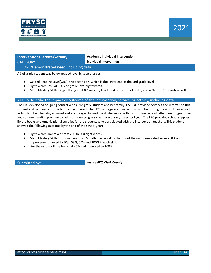

### **Intervention/Service/Activity Academic Individual Intervention CATEGORY Individual Intervention**

BEFORE/Demonstrated need, including data

A 3rd grade student was below graded level in several areas:

- Guided Reading Level(GRL): she began at K, which is the lower end of the 2nd grade level.
- Sight Words: 280 of 300 2nd grade level sight words.
- Math Mastery Skills: began the year at 0% mastery level for 4 of 5 areas of math; and 40% for a 5th mastery skill.

#### AFTER/Describe the impact or outcome of the intervention, service, or activity, including data

The FRC developed on-going contact with a 3rd grade student and her family. The FRC provided services and referrals to this student and her family for the last couple of years. The FRC had regular conversations with her during the school day as well as lunch to help her stay engaged and encouraged to work hard. She was enrolled in summer school, after care programming and summer reading program to help continue progress she made during the school year. The FRC provided school supplies, library books and organizational supplies for the students who participated with the intervention teachers. This student showed the following outcome by the end of the school year:

- Sight Words: Improved from 280 to 300 sight words.
- Math Mastery Skills: Improvement in all 5 math mastery skills; In four of the math areas she began at 0% and improvement moved to 50%, 53%, 60% and 100% in each skill.
- For the math skill she began at 40% and improved to 100%.

Submitted by: *Justice FRC, Clark County*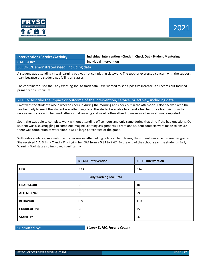

### **Intervention/Service/Activity Individual Intervention - Check In Check Out - Student Mentoring CATEGORY Individual Intervention**

BEFORE/Demonstrated need, including data

A student was attending virtual learning but was not completing classwork. The teacher expressed concern with the support team because the student was failing all classes.

The coordinator used the Early Warning Tool to track data. We wanted to see a positive increase in all scores but focused primarily on curriculum.

#### AFTER/Describe the impact or outcome of the intervention, service, or activity, including data

I met with the student twice a week to check in during the morning and check out in the afternoon. I also checked with the teacher daily to see if the student was attending class. The student was able to attend a teacher office hour via zoom to receive assistance with her work after virtual learning and would often attend to make sure her work was completed.

Soon, she was able to complete work without attending office hours and only came during that time if she had questions. Our student was also struggling to complete Imagine Learning assignments. Parent and student contacts were made to ensure there was completion of work since it was a large percentage of the grade.

With extra guidance, motivation and checking in, after risking failing all her classes, the student was able to raise her grades. She received 1 A, 3 Bs, a C and a D bringing her GPA from a 0.33 to 2.67. By the end of the school year, the student's Early Warning Tool stats also improved significantly.

|                         | <b>BEFORE Intervention</b> | <b>AFTER Intervention</b> |  |
|-------------------------|----------------------------|---------------------------|--|
| <b>GPA</b>              | 0.33                       | 2.67                      |  |
| Early Warning Tool Data |                            |                           |  |
| <b>GRAD SCORE</b>       | 68                         | 101                       |  |
| <b>ATTENDANCE</b>       | 92                         | 99                        |  |
| <b>BEHAVIOR</b>         | 109                        | 110                       |  |
| <b>CURRICULUM</b>       | 62                         | 75                        |  |
| <b>STABILITY</b>        | 86                         | 96                        |  |

Submitted by: *Liberty EL FRC, Fayette County*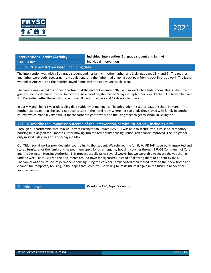

# **CATEGORY Individual Intervention**

**Intervention/Service/Activity Individual Intervention (5th grade student and family)**

#### BEFORE/Demonstrated need, including data

The intervention was with a 5th grade student and her family (mother, father, and 3 siblings ages 13, 4 and 2). The mother and father were both recovering from addictions, and the father had ongoing back pain from a back injury at work. The father worked at Amazon, and the mother stayed home with the two youngest children.

The family was evicted from their apartment at the end of December 2020 and moved into a hotel room. This is when the 5th grade student's absences started to increase. As a baseline, she missed 6 days in September, 2 in October, 3 in November, and 5 in December. After the eviction, she missed 8 days in January and 12 days in February.

In early March, her 13-year-old sibling died suddenly of meningitis. The 5th grader missed 13 days of school in March. The mother expressed that she could not bear to stay in the hotel room where her son died. They stayed with family in another county, which made it very difficult for the father to get to work and the 5th grader to get to school in Lexington.

#### AFTER/Describe the impact or outcome of the intervention, service, or activity, including data

Through our partnership with Maxwell Street Presbyterian Church (MSPC) I was able to secure free, furnished, temporary housing in Lexington for 3 months. After moving into the temporary housing, school attendance improved. The 5th grader only missed 3 days in April and 5 days in May.

Our Title I social worker provided grief counseling to the student. We referred the family to UK TAP; secured, transported and stored furniture for the family and helped them apply for an emergency housing voucher through LFUCG Continuum of Care and the Lexington Housing Authority. This process usually takes several weeks, but we were able to secure the voucher in under a week, because I ran the documents around town for signatures instead of allowing them to be sent by mail. The family was able to secure permanent housing using the voucher. I transported their stored items to their new home and cleaned the temporary housing, in the hopes that MSPC will be willing to let us utilize it again in the future if needed for another family.

Submitted by: *Picadome FRC, Fayette County*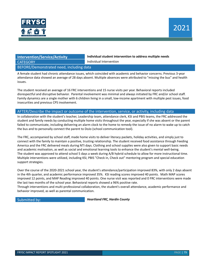

# **CATEGORY Individual Intervention**

**Intervention/Service/Activity Individual student intervention to address multiple needs**

#### BEFORE/Demonstrated need, including data

A female student had chronic attendance issues, which coincided with academic and behavior concerns. Previous 3-year attendance data showed an average of 28 days absent. Multiple absences were attributed to "missing the bus" and health issues.

The student received an average of 16 FRC interventions and 15 nurse visits per year. Behavioral reports included disrespectful and disruptive behavior. Parental involvement was minimal and always initiated by FRC and/or school staff. Family dynamics are a single mother with 6 children living in a small, low-income apartment with multiple pest issues, food insecurities and previous CPS involvement.

#### AFTER/Describe the impact or outcome of the intervention, service, or activity, including data

In collaboration with the student's teacher, Leadership team, attendance clerk, KSI and PBIS teams, the FRC addressed the student and family needs by conducting multiple home visits throughout the year, especially if she was absent or the parent failed to communicate, including delivering an alarm clock to the home to remedy the issue of no alarm to wake up to catch the bus and to personally connect the parent to DoJo (school communication tool).

The FRC, accompanied by school staff, made home visits to deliver literacy packets, holiday activities, and simply just to connect with the family to maintain a positive, trusting relationship. The student received food assistance through Feeding America and the FRC delivered meals during NTI days. Clothing and school supplies were also given to support basic needs and academic motivation, as well as social and emotional learning tools to enhance the student's mental well-being. The student was approved to attend school 5 days a week during A/B hybrid schedule to allow for more instructional time. Multiple interventions were utilized, including KSI, PBIS "Check in, Check out" mentoring program and special education support strategies.

Over the course of the 2020-2021 school year, the student's attendance/participation improved 83%, with only 2 days absent in the 4th quarter, and academic performance improved 35%. KSI reading scores improved 40 points. Math MAP scores improved 12 points, and MAP Reading improved 40 points. One nurse visit was reported and 0 FRC interventions were made the last two months of the school year. Behavioral reports showed a 96% positive rate.

Through interventions and multi-professional collaboration, the student's overall attendance, academic performance and behavior improved, as well as parental communication.

Submitted by: *Heartland FRC, Hardin County*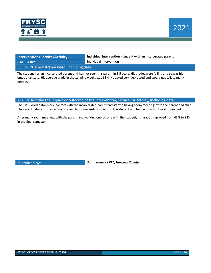

| <b>Intervention/Service/Activity</b> |  |
|--------------------------------------|--|
| CATEGORY                             |  |
| $DEFODE/Damonstrated$ nood inclu     |  |

**Intervention/Service/Activity Individual Intervention - student with an incarcerated parent** Individual Intervention

BEFORE/Demonstrated need, including data

The student has an incarcerated parent and has not seen this parent in 3.5 years. His grades were falling and so was his emotional state. His average grade in the 1st nine weeks was 63%. He acted very depressed and would not talk to many people.

#### AFTER/Describe the impact or outcome of the intervention, service, or activity, including data

The FRC Coordinator made contact with the incarcerated parent and started having zoom meetings with the parent and child. The Coordinator also started making regular home visits to check on the student and help with school work if needed.

After many zoom meetings with the parent and working one on one with the student, his grades improved from 63% to 92% in the final semester.

Submitted by: *South Hancock FRC, Hancock County*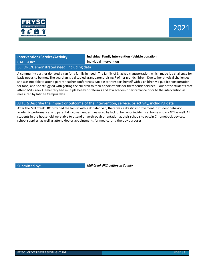

**Intervention/Service/Activity Individual Family Intervention - Vehicle donation**

**CATEGORY Individual Intervention** 

#### BEFORE/Demonstrated need, including data

A community partner donated a van for a family in need. The family of 8 lacked transportation, which made it a challenge for basic needs to be met. The guardian is a disabled grandparent raising 7 of her grandchildren. Due to her physical challenges she was not able to attend parent-teacher conferences, unable to transport herself with 7 children via public transportation for food, and she struggled with getting the children to their appointments for therapeutic services. Four of the students that attend Mill Creek Elementary had multiple behavior referrals and low academic performance prior to the intervention as measured by Infinite Campus data.

#### AFTER/Describe the impact or outcome of the intervention, service, or activity, including data

After the Mill Creek FRC provided the family with a donated van, there was a drastic improvement in student behavior, academic performance, and parental involvement as measured by lack of behavior incidents at home and via NTI as well. All students in the household were able to attend drive-through orientation at their schools to obtain Chromebook devices, school supplies, as well as attend doctor appointments for medical and therapy purposes.

Submitted by: *Mill Creek FRC, Jefferson County*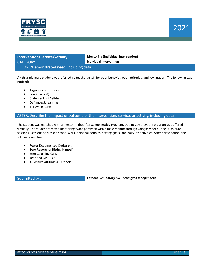

| <b>Intervention/Service/Activity</b>     | <b>Mentoring (Individual Intervention)</b> |
|------------------------------------------|--------------------------------------------|
| <b>CATEGORY</b>                          | Individual Intervention                    |
| BEFORE/Demonstrated need, including data |                                            |

A 4th grade male student was referred by teachers/staff for poor behavior, poor attitudes, and low grades. The following was noticed:

- Aggressive Outbursts
- $\bullet$  Low GPA (2.8)
- Statements of Self-harm
- Defiance/Screaming
- Throwing Items

#### AFTER/Describe the impact or outcome of the intervention, service, or activity, including data

The student was matched with a mentor in the After School Buddy Program. Due to Covid 19, the program was offered virtually. The student received mentoring twice per week with a male mentor through Google Meet during 30 minute sessions. Sessions addressed school work, personal hobbies, setting goals, and daily life activities. After participation, the following was found:

- Fewer Documented Outbursts
- Zero Reports of Hitting Himself
- Zero Coaching Calls
- Year-end GPA 3.5
- A Positive Attitude & Outlook

Submitted by: *Latonia Elementary FRC, Covington Independent*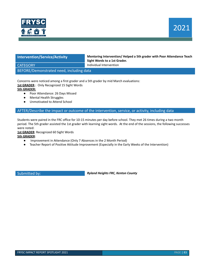

**Intervention/Service/Activity Mentoring Intervention/ Helped a 5th grader with Poor Attendance Teach Sight Words to a 1st Grader. CATEGORY Individual Intervention** 

BEFORE/Demonstrated need, including data

Concerns were noticed among a first grader and a 5th grader by mid March evaluations:

**1st GRADER**.: Only Recognized 15 Sight Words

**5th GRADER:**

- Poor Attendance: 26 Days Missed
- Mental Health Struggles
- Unmotivated to Attend School

### AFTER/Describe the impact or outcome of the intervention, service, or activity, including data

Students were paired in the FRC office for 10-15 minutes per day before school. They met 26 times during a two month period. The 5th grader assisted the 1st grader with learning sight words. At the end of the sessions, the following successes were noted:

**1st GRADER**: Recognized 60 Sight Words

**5th GRADER**:

- Improvement in Attendance (Only 7 Absences in the 2 Month Period)
- Teacher Report of Positive Attitude Improvement (Especially in the Early Weeks of the Intervention)

Submitted by: *Ryland Heights FRC, Kenton County*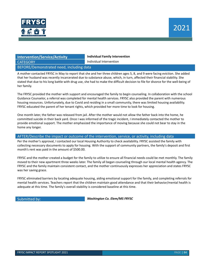

### **Intervention/Service/Activity Individual Family Intervention CATEGORY Individual Intervention**

BEFORE/Demonstrated need, including data

A mother contacted FRYSC in May to report that she and her three children ages 5, 8, and 9 were facing eviction. She added that her husband was recently incarcerated due to substance abuse, which, in turn, affected their financial stability. She stated that due to his long battle with drug use, she had to make the difficult decision to file for divorce for the well-being of her family.

The FRYSC provided the mother with support and encouraged the family to begin counseling. In collaboration with the school Guidance Counselor, a referral was completed for mental health services. FRYSC also provided the parent with numerous housing resources. Unfortunately, due to Covid and residing in a small community, there was limited housing availability. FRYSC educated the parent of her tenant rights, which provided her more time to look for housing.

One month later, the father was released from jail. After the mother would not allow the father back into the home, he committed suicide in their back yard. Once I was informed of the tragic incident, I immediately contacted the mother to provide emotional support. The mother emphasized the importance of moving because she could not bear to stay in the home any longer.

#### AFTER/Describe the impact or outcome of the intervention, service, or activity, including data

Per the mother's approval, I contacted our local Housing Authority to check availability. FRYSC assisted the family with collecting necessary documents to apply for housing. With the support of community partners, the family's deposit and first month's rent was paid in the amount of \$500.00.

FRYSC and the mother created a budget for the family to utilize to ensure all financial needs could be met monthly. The family moved to their new apartment three weeks later. The family all began counseling through our local mental health agency. The FRYSC and the family maintain consistent contact, and the mother continuously expresses her appreciation and states FRYSC was her saving grace.

FRYSC eliminated barriers by locating adequate housing, aiding emotional support for the family, and completing referrals for mental health services. Teachers report that the children maintain good attendance and that their behavior/mental health is adequate at this time. The family's overall stability is considered baseline at this time.

Submitted by: *Washington Co. Elem/MS FRYSC*